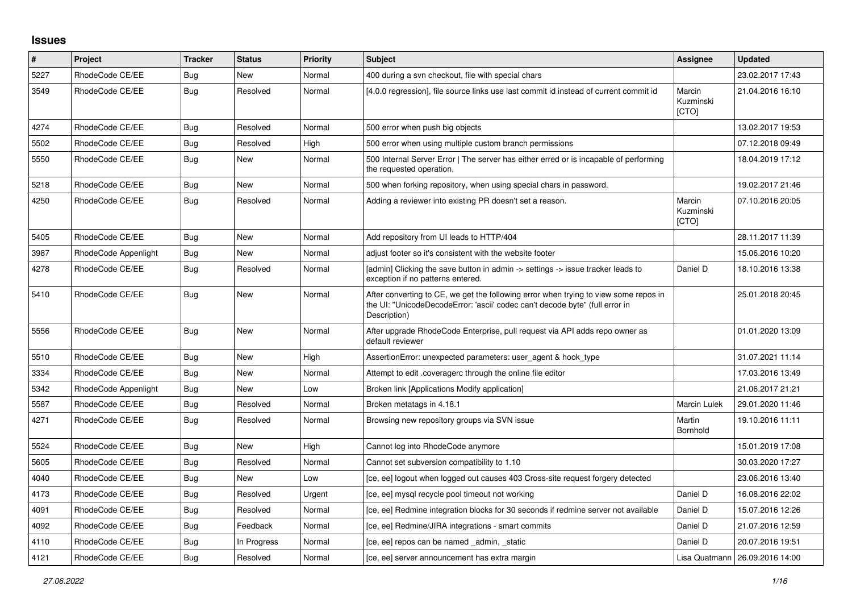## **Issues**

| #    | Project              | <b>Tracker</b> | <b>Status</b> | <b>Priority</b> | <b>Subject</b>                                                                                                                                                                       | Assignee                     | <b>Updated</b>                   |
|------|----------------------|----------------|---------------|-----------------|--------------------------------------------------------------------------------------------------------------------------------------------------------------------------------------|------------------------------|----------------------------------|
| 5227 | RhodeCode CE/EE      | Bug            | <b>New</b>    | Normal          | 400 during a svn checkout, file with special chars                                                                                                                                   |                              | 23.02.2017 17:43                 |
| 3549 | RhodeCode CE/EE      | Bug            | Resolved      | Normal          | [4.0.0 regression], file source links use last commit id instead of current commit id                                                                                                | Marcin<br>Kuzminski<br>[CTO] | 21.04.2016 16:10                 |
| 4274 | RhodeCode CE/EE      | Bug            | Resolved      | Normal          | 500 error when push big objects                                                                                                                                                      |                              | 13.02.2017 19:53                 |
| 5502 | RhodeCode CE/EE      | Bug            | Resolved      | High            | 500 error when using multiple custom branch permissions                                                                                                                              |                              | 07.12.2018 09:49                 |
| 5550 | RhodeCode CE/EE      | Bug            | <b>New</b>    | Normal          | 500 Internal Server Error   The server has either erred or is incapable of performing<br>the requested operation.                                                                    |                              | 18.04.2019 17:12                 |
| 5218 | RhodeCode CE/EE      | <b>Bug</b>     | <b>New</b>    | Normal          | 500 when forking repository, when using special chars in password.                                                                                                                   |                              | 19.02.2017 21:46                 |
| 4250 | RhodeCode CE/EE      | Bug            | Resolved      | Normal          | Adding a reviewer into existing PR doesn't set a reason.                                                                                                                             | Marcin<br>Kuzminski<br>[CTO] | 07.10.2016 20:05                 |
| 5405 | RhodeCode CE/EE      | Bug            | <b>New</b>    | Normal          | Add repository from UI leads to HTTP/404                                                                                                                                             |                              | 28.11.2017 11:39                 |
| 3987 | RhodeCode Appenlight | <b>Bug</b>     | <b>New</b>    | Normal          | adjust footer so it's consistent with the website footer                                                                                                                             |                              | 15.06.2016 10:20                 |
| 4278 | RhodeCode CE/EE      | <b>Bug</b>     | Resolved      | Normal          | [admin] Clicking the save button in admin -> settings -> issue tracker leads to<br>exception if no patterns entered.                                                                 | Daniel D                     | 18.10.2016 13:38                 |
| 5410 | RhodeCode CE/EE      | Bug            | New           | Normal          | After converting to CE, we get the following error when trying to view some repos in<br>the UI: "UnicodeDecodeError: 'ascii' codec can't decode byte" (full error in<br>Description) |                              | 25.01.2018 20:45                 |
| 5556 | RhodeCode CE/EE      | <b>Bug</b>     | <b>New</b>    | Normal          | After upgrade RhodeCode Enterprise, pull request via API adds repo owner as<br>default reviewer                                                                                      |                              | 01.01.2020 13:09                 |
| 5510 | RhodeCode CE/EE      | Bug            | <b>New</b>    | High            | AssertionError: unexpected parameters: user_agent & hook_type                                                                                                                        |                              | 31.07.2021 11:14                 |
| 3334 | RhodeCode CE/EE      | <b>Bug</b>     | <b>New</b>    | Normal          | Attempt to edit .coveragerc through the online file editor                                                                                                                           |                              | 17.03.2016 13:49                 |
| 5342 | RhodeCode Appenlight | Bug            | New           | Low             | Broken link [Applications Modify application]                                                                                                                                        |                              | 21.06.2017 21:21                 |
| 5587 | RhodeCode CE/EE      | <b>Bug</b>     | Resolved      | Normal          | Broken metatags in 4.18.1                                                                                                                                                            | <b>Marcin Lulek</b>          | 29.01.2020 11:46                 |
| 4271 | RhodeCode CE/EE      | Bug            | Resolved      | Normal          | Browsing new repository groups via SVN issue                                                                                                                                         | Martin<br>Bornhold           | 19.10.2016 11:11                 |
| 5524 | RhodeCode CE/EE      | <b>Bug</b>     | <b>New</b>    | High            | Cannot log into RhodeCode anymore                                                                                                                                                    |                              | 15.01.2019 17:08                 |
| 5605 | RhodeCode CE/EE      | Bug            | Resolved      | Normal          | Cannot set subversion compatibility to 1.10                                                                                                                                          |                              | 30.03.2020 17:27                 |
| 4040 | RhodeCode CE/EE      | <b>Bug</b>     | <b>New</b>    | Low             | [ce, ee] logout when logged out causes 403 Cross-site request forgery detected                                                                                                       |                              | 23.06.2016 13:40                 |
| 4173 | RhodeCode CE/EE      | Bug            | Resolved      | Urgent          | [ce, ee] mysql recycle pool timeout not working                                                                                                                                      | Daniel D                     | 16.08.2016 22:02                 |
| 4091 | RhodeCode CE/EE      | Bug            | Resolved      | Normal          | [ce, ee] Redmine integration blocks for 30 seconds if redmine server not available                                                                                                   | Daniel D                     | 15.07.2016 12:26                 |
| 4092 | RhodeCode CE/EE      | Bug            | Feedback      | Normal          | [ce, ee] Redmine/JIRA integrations - smart commits                                                                                                                                   | Daniel D                     | 21.07.2016 12:59                 |
| 4110 | RhodeCode CE/EE      | Bug            | In Progress   | Normal          | [ce, ee] repos can be named admin, static                                                                                                                                            | Daniel D                     | 20.07.2016 19:51                 |
| 4121 | RhodeCode CE/EE      | Bug            | Resolved      | Normal          | [ce, ee] server announcement has extra margin                                                                                                                                        |                              | Lisa Quatmann   26.09.2016 14:00 |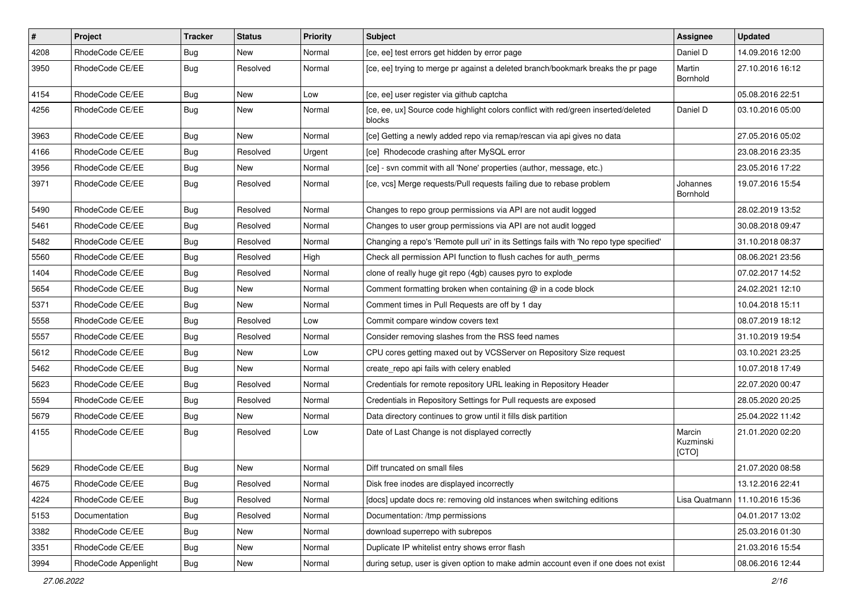| $\vert$ # | Project              | <b>Tracker</b> | <b>Status</b> | Priority | <b>Subject</b>                                                                               | <b>Assignee</b>              | <b>Updated</b>   |
|-----------|----------------------|----------------|---------------|----------|----------------------------------------------------------------------------------------------|------------------------------|------------------|
| 4208      | RhodeCode CE/EE      | <b>Bug</b>     | New           | Normal   | [ce, ee] test errors get hidden by error page                                                | Daniel D                     | 14.09.2016 12:00 |
| 3950      | RhodeCode CE/EE      | Bug            | Resolved      | Normal   | [ce, ee] trying to merge pr against a deleted branch/bookmark breaks the pr page             | Martin<br>Bornhold           | 27.10.2016 16:12 |
| 4154      | RhodeCode CE/EE      | Bug            | <b>New</b>    | Low      | [ce, ee] user register via github captcha                                                    |                              | 05.08.2016 22:51 |
| 4256      | RhodeCode CE/EE      | Bug            | New           | Normal   | [ce, ee, ux] Source code highlight colors conflict with red/green inserted/deleted<br>blocks | Daniel D                     | 03.10.2016 05:00 |
| 3963      | RhodeCode CE/EE      | Bug            | <b>New</b>    | Normal   | [ce] Getting a newly added repo via remap/rescan via api gives no data                       |                              | 27.05.2016 05:02 |
| 4166      | RhodeCode CE/EE      | <b>Bug</b>     | Resolved      | Urgent   | [ce] Rhodecode crashing after MySQL error                                                    |                              | 23.08.2016 23:35 |
| 3956      | RhodeCode CE/EE      | Bug            | New           | Normal   | [ce] - svn commit with all 'None' properties (author, message, etc.)                         |                              | 23.05.2016 17:22 |
| 3971      | RhodeCode CE/EE      | Bug            | Resolved      | Normal   | [ce, vcs] Merge requests/Pull requests failing due to rebase problem                         | Johannes<br>Bornhold         | 19.07.2016 15:54 |
| 5490      | RhodeCode CE/EE      | Bug            | Resolved      | Normal   | Changes to repo group permissions via API are not audit logged                               |                              | 28.02.2019 13:52 |
| 5461      | RhodeCode CE/EE      | Bug            | Resolved      | Normal   | Changes to user group permissions via API are not audit logged                               |                              | 30.08.2018 09:47 |
| 5482      | RhodeCode CE/EE      | Bug            | Resolved      | Normal   | Changing a repo's 'Remote pull uri' in its Settings fails with 'No repo type specified'      |                              | 31.10.2018 08:37 |
| 5560      | RhodeCode CE/EE      | Bug            | Resolved      | High     | Check all permission API function to flush caches for auth_perms                             |                              | 08.06.2021 23:56 |
| 1404      | RhodeCode CE/EE      | Bug            | Resolved      | Normal   | clone of really huge git repo (4gb) causes pyro to explode                                   |                              | 07.02.2017 14:52 |
| 5654      | RhodeCode CE/EE      | Bug            | New           | Normal   | Comment formatting broken when containing $\omega$ in a code block                           |                              | 24.02.2021 12:10 |
| 5371      | RhodeCode CE/EE      | Bug            | New           | Normal   | Comment times in Pull Requests are off by 1 day                                              |                              | 10.04.2018 15:11 |
| 5558      | RhodeCode CE/EE      | Bug            | Resolved      | Low      | Commit compare window covers text                                                            |                              | 08.07.2019 18:12 |
| 5557      | RhodeCode CE/EE      | Bug            | Resolved      | Normal   | Consider removing slashes from the RSS feed names                                            |                              | 31.10.2019 19:54 |
| 5612      | RhodeCode CE/EE      | <b>Bug</b>     | <b>New</b>    | Low      | CPU cores getting maxed out by VCSServer on Repository Size request                          |                              | 03.10.2021 23:25 |
| 5462      | RhodeCode CE/EE      | <b>Bug</b>     | New           | Normal   | create_repo api fails with celery enabled                                                    |                              | 10.07.2018 17:49 |
| 5623      | RhodeCode CE/EE      | Bug            | Resolved      | Normal   | Credentials for remote repository URL leaking in Repository Header                           |                              | 22.07.2020 00:47 |
| 5594      | RhodeCode CE/EE      | Bug            | Resolved      | Normal   | Credentials in Repository Settings for Pull requests are exposed                             |                              | 28.05.2020 20:25 |
| 5679      | RhodeCode CE/EE      | Bug            | <b>New</b>    | Normal   | Data directory continues to grow until it fills disk partition                               |                              | 25.04.2022 11:42 |
| 4155      | RhodeCode CE/EE      | Bug            | Resolved      | Low      | Date of Last Change is not displayed correctly                                               | Marcin<br>Kuzminski<br>[CTO] | 21.01.2020 02:20 |
| 5629      | RhodeCode CE/EE      | Bug            | <b>New</b>    | Normal   | Diff truncated on small files                                                                |                              | 21.07.2020 08:58 |
| 4675      | RhodeCode CE/EE      | Bug            | Resolved      | Normal   | Disk free inodes are displayed incorrectly                                                   |                              | 13.12.2016 22:41 |
| 4224      | RhodeCode CE/EE      | Bug            | Resolved      | Normal   | [docs] update docs re: removing old instances when switching editions                        | Lisa Quatmann                | 11.10.2016 15:36 |
| 5153      | Documentation        | Bug            | Resolved      | Normal   | Documentation: /tmp permissions                                                              |                              | 04.01.2017 13:02 |
| 3382      | RhodeCode CE/EE      | Bug            | New           | Normal   | download superrepo with subrepos                                                             |                              | 25.03.2016 01:30 |
| 3351      | RhodeCode CE/EE      | <b>Bug</b>     | New           | Normal   | Duplicate IP whitelist entry shows error flash                                               |                              | 21.03.2016 15:54 |
| 3994      | RhodeCode Appenlight | Bug            | New           | Normal   | during setup, user is given option to make admin account even if one does not exist          |                              | 08.06.2016 12:44 |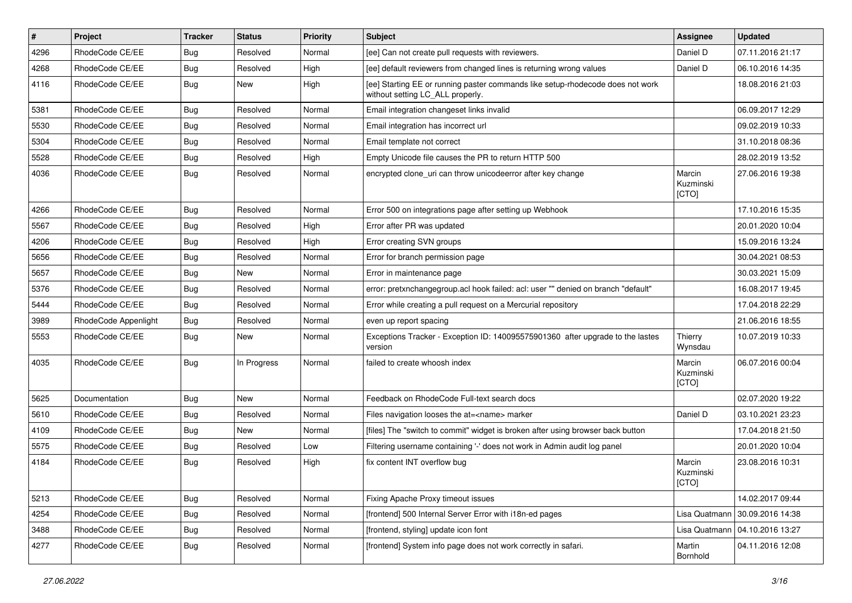| $\vert$ # | Project              | <b>Tracker</b> | <b>Status</b> | Priority | Subject                                                                                                            | <b>Assignee</b>              | <b>Updated</b>                   |
|-----------|----------------------|----------------|---------------|----------|--------------------------------------------------------------------------------------------------------------------|------------------------------|----------------------------------|
| 4296      | RhodeCode CE/EE      | Bug            | Resolved      | Normal   | [ee] Can not create pull requests with reviewers.                                                                  | Daniel D                     | 07.11.2016 21:17                 |
| 4268      | RhodeCode CE/EE      | Bug            | Resolved      | High     | [ee] default reviewers from changed lines is returning wrong values                                                | Daniel D                     | 06.10.2016 14:35                 |
| 4116      | RhodeCode CE/EE      | Bug            | New           | High     | [ee] Starting EE or running paster commands like setup-rhodecode does not work<br>without setting LC_ALL properly. |                              | 18.08.2016 21:03                 |
| 5381      | RhodeCode CE/EE      | Bug            | Resolved      | Normal   | Email integration changeset links invalid                                                                          |                              | 06.09.2017 12:29                 |
| 5530      | RhodeCode CE/EE      | Bug            | Resolved      | Normal   | Email integration has incorrect url                                                                                |                              | 09.02.2019 10:33                 |
| 5304      | RhodeCode CE/EE      | Bug            | Resolved      | Normal   | Email template not correct                                                                                         |                              | 31.10.2018 08:36                 |
| 5528      | RhodeCode CE/EE      | Bug            | Resolved      | High     | Empty Unicode file causes the PR to return HTTP 500                                                                |                              | 28.02.2019 13:52                 |
| 4036      | RhodeCode CE/EE      | Bug            | Resolved      | Normal   | encrypted clone uri can throw unicodeerror after key change                                                        | Marcin<br>Kuzminski<br>[CTO] | 27.06.2016 19:38                 |
| 4266      | RhodeCode CE/EE      | Bug            | Resolved      | Normal   | Error 500 on integrations page after setting up Webhook                                                            |                              | 17.10.2016 15:35                 |
| 5567      | RhodeCode CE/EE      | Bug            | Resolved      | High     | Error after PR was updated                                                                                         |                              | 20.01.2020 10:04                 |
| 4206      | RhodeCode CE/EE      | Bug            | Resolved      | High     | Error creating SVN groups                                                                                          |                              | 15.09.2016 13:24                 |
| 5656      | RhodeCode CE/EE      | Bug            | Resolved      | Normal   | Error for branch permission page                                                                                   |                              | 30.04.2021 08:53                 |
| 5657      | RhodeCode CE/EE      | Bug            | <b>New</b>    | Normal   | Error in maintenance page                                                                                          |                              | 30.03.2021 15:09                 |
| 5376      | RhodeCode CE/EE      | Bug            | Resolved      | Normal   | error: pretxnchangegroup.acl hook failed: acl: user "" denied on branch "default"                                  |                              | 16.08.2017 19:45                 |
| 5444      | RhodeCode CE/EE      | Bug            | Resolved      | Normal   | Error while creating a pull request on a Mercurial repository                                                      |                              | 17.04.2018 22:29                 |
| 3989      | RhodeCode Appenlight | Bug            | Resolved      | Normal   | even up report spacing                                                                                             |                              | 21.06.2016 18:55                 |
| 5553      | RhodeCode CE/EE      | Bug            | New           | Normal   | Exceptions Tracker - Exception ID: 140095575901360 after upgrade to the lastes<br>version                          | Thierry<br>Wynsdau           | 10.07.2019 10:33                 |
| 4035      | RhodeCode CE/EE      | Bug            | In Progress   | Normal   | failed to create whoosh index                                                                                      | Marcin<br>Kuzminski<br>[CTO] | 06.07.2016 00:04                 |
| 5625      | Documentation        | Bug            | New           | Normal   | Feedback on RhodeCode Full-text search docs                                                                        |                              | 02.07.2020 19:22                 |
| 5610      | RhodeCode CE/EE      | Bug            | Resolved      | Normal   | Files navigation looses the at= <name> marker</name>                                                               | Daniel D                     | 03.10.2021 23:23                 |
| 4109      | RhodeCode CE/EE      | <b>Bug</b>     | New           | Normal   | [files] The "switch to commit" widget is broken after using browser back button                                    |                              | 17.04.2018 21:50                 |
| 5575      | RhodeCode CE/EE      | Bug            | Resolved      | Low      | Filtering username containing '-' does not work in Admin audit log panel                                           |                              | 20.01.2020 10:04                 |
| 4184      | RhodeCode CE/EE      | Bug            | Resolved      | High     | fix content INT overflow bug                                                                                       | Marcin<br>Kuzminski<br>[CTO] | 23.08.2016 10:31                 |
| 5213      | RhodeCode CE/EE      | <b>Bug</b>     | Resolved      | Normal   | Fixing Apache Proxy timeout issues                                                                                 |                              | 14.02.2017 09:44                 |
| 4254      | RhodeCode CE/EE      | <b>Bug</b>     | Resolved      | Normal   | [frontend] 500 Internal Server Error with i18n-ed pages                                                            | Lisa Quatmann                | 30.09.2016 14:38                 |
| 3488      | RhodeCode CE/EE      | Bug            | Resolved      | Normal   | [frontend, styling] update icon font                                                                               |                              | Lisa Quatmann   04.10.2016 13:27 |
| 4277      | RhodeCode CE/EE      | <b>Bug</b>     | Resolved      | Normal   | [frontend] System info page does not work correctly in safari.                                                     | Martin<br>Bornhold           | 04.11.2016 12:08                 |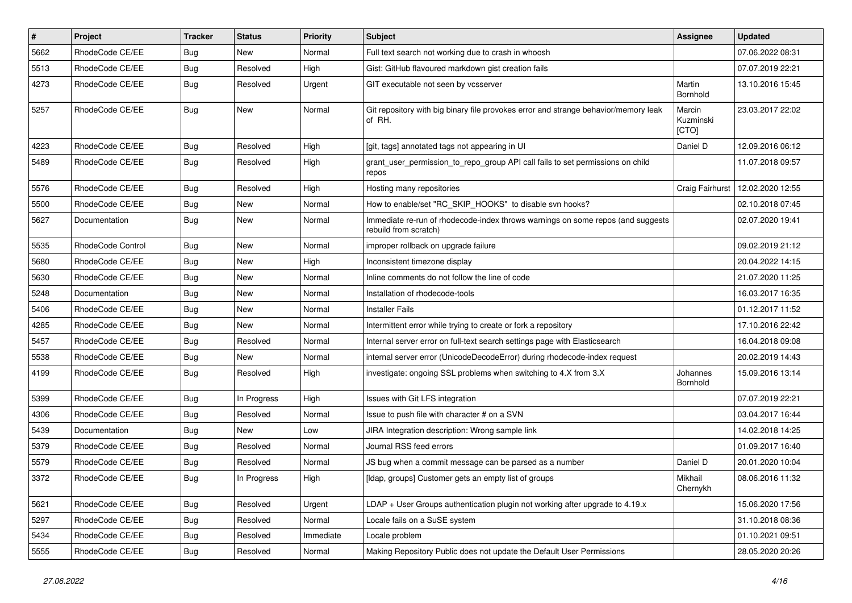| $\pmb{\#}$ | Project           | <b>Tracker</b> | <b>Status</b> | <b>Priority</b> | <b>Subject</b>                                                                                           | Assignee                     | <b>Updated</b>   |
|------------|-------------------|----------------|---------------|-----------------|----------------------------------------------------------------------------------------------------------|------------------------------|------------------|
| 5662       | RhodeCode CE/EE   | <b>Bug</b>     | New           | Normal          | Full text search not working due to crash in whoosh                                                      |                              | 07.06.2022 08:31 |
| 5513       | RhodeCode CE/EE   | Bug            | Resolved      | High            | Gist: GitHub flavoured markdown gist creation fails                                                      |                              | 07.07.2019 22:21 |
| 4273       | RhodeCode CE/EE   | Bug            | Resolved      | Urgent          | GIT executable not seen by vcsserver                                                                     | Martin<br>Bornhold           | 13.10.2016 15:45 |
| 5257       | RhodeCode CE/EE   | Bug            | <b>New</b>    | Normal          | Git repository with big binary file provokes error and strange behavior/memory leak<br>of RH.            | Marcin<br>Kuzminski<br>[CTO] | 23.03.2017 22:02 |
| 4223       | RhodeCode CE/EE   | Bug            | Resolved      | High            | [git, tags] annotated tags not appearing in UI                                                           | Daniel D                     | 12.09.2016 06:12 |
| 5489       | RhodeCode CE/EE   | Bug            | Resolved      | High            | grant_user_permission_to_repo_group API call fails to set permissions on child<br>repos                  |                              | 11.07.2018 09:57 |
| 5576       | RhodeCode CE/EE   | Bug            | Resolved      | High            | Hosting many repositories                                                                                | Craig Fairhurst              | 12.02.2020 12:55 |
| 5500       | RhodeCode CE/EE   | Bug            | New           | Normal          | How to enable/set "RC_SKIP_HOOKS" to disable svn hooks?                                                  |                              | 02.10.2018 07:45 |
| 5627       | Documentation     | Bug            | <b>New</b>    | Normal          | Immediate re-run of rhodecode-index throws warnings on some repos (and suggests<br>rebuild from scratch) |                              | 02.07.2020 19:41 |
| 5535       | RhodeCode Control | Bug            | New           | Normal          | improper rollback on upgrade failure                                                                     |                              | 09.02.2019 21:12 |
| 5680       | RhodeCode CE/EE   | Bug            | New           | High            | Inconsistent timezone display                                                                            |                              | 20.04.2022 14:15 |
| 5630       | RhodeCode CE/EE   | Bug            | New           | Normal          | Inline comments do not follow the line of code                                                           |                              | 21.07.2020 11:25 |
| 5248       | Documentation     | Bug            | <b>New</b>    | Normal          | Installation of rhodecode-tools                                                                          |                              | 16.03.2017 16:35 |
| 5406       | RhodeCode CE/EE   | Bug            | New           | Normal          | <b>Installer Fails</b>                                                                                   |                              | 01.12.2017 11:52 |
| 4285       | RhodeCode CE/EE   | Bug            | New           | Normal          | Intermittent error while trying to create or fork a repository                                           |                              | 17.10.2016 22:42 |
| 5457       | RhodeCode CE/EE   | Bug            | Resolved      | Normal          | Internal server error on full-text search settings page with Elasticsearch                               |                              | 16.04.2018 09:08 |
| 5538       | RhodeCode CE/EE   | Bug            | New           | Normal          | internal server error (UnicodeDecodeError) during rhodecode-index request                                |                              | 20.02.2019 14:43 |
| 4199       | RhodeCode CE/EE   | Bug            | Resolved      | High            | investigate: ongoing SSL problems when switching to 4.X from 3.X                                         | Johannes<br>Bornhold         | 15.09.2016 13:14 |
| 5399       | RhodeCode CE/EE   | Bug            | In Progress   | High            | Issues with Git LFS integration                                                                          |                              | 07.07.2019 22:21 |
| 4306       | RhodeCode CE/EE   | Bug            | Resolved      | Normal          | Issue to push file with character # on a SVN                                                             |                              | 03.04.2017 16:44 |
| 5439       | Documentation     | Bug            | <b>New</b>    | Low             | JIRA Integration description: Wrong sample link                                                          |                              | 14.02.2018 14:25 |
| 5379       | RhodeCode CE/EE   | Bug            | Resolved      | Normal          | Journal RSS feed errors                                                                                  |                              | 01.09.2017 16:40 |
| 5579       | RhodeCode CE/EE   | Bug            | Resolved      | Normal          | JS bug when a commit message can be parsed as a number                                                   | Daniel D                     | 20.01.2020 10:04 |
| 3372       | RhodeCode CE/EE   | Bug            | In Progress   | High            | [Idap, groups] Customer gets an empty list of groups                                                     | Mikhail<br>Chernykh          | 08.06.2016 11:32 |
| 5621       | RhodeCode CE/EE   | <b>Bug</b>     | Resolved      | Urgent          | $LDAP + User Groups$ authentication plugin not working after upgrade to 4.19. $x$                        |                              | 15.06.2020 17:56 |
| 5297       | RhodeCode CE/EE   | <b>Bug</b>     | Resolved      | Normal          | Locale fails on a SuSE system                                                                            |                              | 31.10.2018 08:36 |
| 5434       | RhodeCode CE/EE   | <b>Bug</b>     | Resolved      | Immediate       | Locale problem                                                                                           |                              | 01.10.2021 09:51 |
| 5555       | RhodeCode CE/EE   | Bug            | Resolved      | Normal          | Making Repository Public does not update the Default User Permissions                                    |                              | 28.05.2020 20:26 |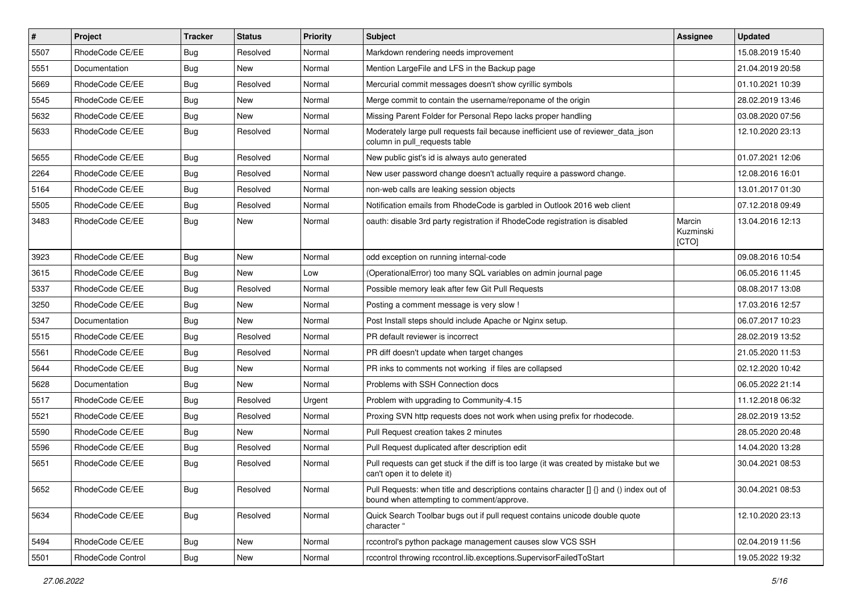| #    | Project           | <b>Tracker</b> | <b>Status</b> | <b>Priority</b> | <b>Subject</b>                                                                                                                       | <b>Assignee</b>              | <b>Updated</b>   |
|------|-------------------|----------------|---------------|-----------------|--------------------------------------------------------------------------------------------------------------------------------------|------------------------------|------------------|
| 5507 | RhodeCode CE/EE   | Bug            | Resolved      | Normal          | Markdown rendering needs improvement                                                                                                 |                              | 15.08.2019 15:40 |
| 5551 | Documentation     | Bug            | <b>New</b>    | Normal          | Mention LargeFile and LFS in the Backup page                                                                                         |                              | 21.04.2019 20:58 |
| 5669 | RhodeCode CE/EE   | Bug            | Resolved      | Normal          | Mercurial commit messages doesn't show cyrillic symbols                                                                              |                              | 01.10.2021 10:39 |
| 5545 | RhodeCode CE/EE   | <b>Bug</b>     | New           | Normal          | Merge commit to contain the username/reponame of the origin                                                                          |                              | 28.02.2019 13:46 |
| 5632 | RhodeCode CE/EE   | Bug            | <b>New</b>    | Normal          | Missing Parent Folder for Personal Repo lacks proper handling                                                                        |                              | 03.08.2020 07:56 |
| 5633 | RhodeCode CE/EE   | Bug            | Resolved      | Normal          | Moderately large pull requests fail because inefficient use of reviewer_data_json<br>column in pull requests table                   |                              | 12.10.2020 23:13 |
| 5655 | RhodeCode CE/EE   | Bug            | Resolved      | Normal          | New public gist's id is always auto generated                                                                                        |                              | 01.07.2021 12:06 |
| 2264 | RhodeCode CE/EE   | Bug            | Resolved      | Normal          | New user password change doesn't actually require a password change.                                                                 |                              | 12.08.2016 16:01 |
| 5164 | RhodeCode CE/EE   | Bug            | Resolved      | Normal          | non-web calls are leaking session objects                                                                                            |                              | 13.01.2017 01:30 |
| 5505 | RhodeCode CE/EE   | Bug            | Resolved      | Normal          | Notification emails from RhodeCode is garbled in Outlook 2016 web client                                                             |                              | 07.12.2018 09:49 |
| 3483 | RhodeCode CE/EE   | Bug            | New           | Normal          | oauth: disable 3rd party registration if RhodeCode registration is disabled                                                          | Marcin<br>Kuzminski<br>[CTO] | 13.04.2016 12:13 |
| 3923 | RhodeCode CE/EE   | Bug            | <b>New</b>    | Normal          | odd exception on running internal-code                                                                                               |                              | 09.08.2016 10:54 |
| 3615 | RhodeCode CE/EE   | Bug            | New           | Low             | (OperationalError) too many SQL variables on admin journal page                                                                      |                              | 06.05.2016 11:45 |
| 5337 | RhodeCode CE/EE   | Bug            | Resolved      | Normal          | Possible memory leak after few Git Pull Requests                                                                                     |                              | 08.08.2017 13:08 |
| 3250 | RhodeCode CE/EE   | Bug            | <b>New</b>    | Normal          | Posting a comment message is very slow !                                                                                             |                              | 17.03.2016 12:57 |
| 5347 | Documentation     | Bug            | New           | Normal          | Post Install steps should include Apache or Nginx setup.                                                                             |                              | 06.07.2017 10:23 |
| 5515 | RhodeCode CE/EE   | Bug            | Resolved      | Normal          | PR default reviewer is incorrect                                                                                                     |                              | 28.02.2019 13:52 |
| 5561 | RhodeCode CE/EE   | Bug            | Resolved      | Normal          | PR diff doesn't update when target changes                                                                                           |                              | 21.05.2020 11:53 |
| 5644 | RhodeCode CE/EE   | Bug            | <b>New</b>    | Normal          | PR inks to comments not working if files are collapsed                                                                               |                              | 02.12.2020 10:42 |
| 5628 | Documentation     | Bug            | <b>New</b>    | Normal          | Problems with SSH Connection docs                                                                                                    |                              | 06.05.2022 21:14 |
| 5517 | RhodeCode CE/EE   | Bug            | Resolved      | Urgent          | Problem with upgrading to Community-4.15                                                                                             |                              | 11.12.2018 06:32 |
| 5521 | RhodeCode CE/EE   | <b>Bug</b>     | Resolved      | Normal          | Proxing SVN http requests does not work when using prefix for rhodecode.                                                             |                              | 28.02.2019 13:52 |
| 5590 | RhodeCode CE/EE   | Bug            | <b>New</b>    | Normal          | Pull Request creation takes 2 minutes                                                                                                |                              | 28.05.2020 20:48 |
| 5596 | RhodeCode CE/EE   | Bug            | Resolved      | Normal          | Pull Request duplicated after description edit                                                                                       |                              | 14.04.2020 13:28 |
| 5651 | RhodeCode CE/EE   | Bug            | Resolved      | Normal          | Pull requests can get stuck if the diff is too large (it was created by mistake but we<br>can't open it to delete it)                |                              | 30.04.2021 08:53 |
| 5652 | RhodeCode CE/EE   | Bug            | Resolved      | Normal          | Pull Requests: when title and descriptions contains character [] {} and () index out of<br>bound when attempting to comment/approve. |                              | 30.04.2021 08:53 |
| 5634 | RhodeCode CE/EE   | Bug            | Resolved      | Normal          | Quick Search Toolbar bugs out if pull request contains unicode double quote<br>character "                                           |                              | 12.10.2020 23:13 |
| 5494 | RhodeCode CE/EE   | Bug            | New           | Normal          | rccontrol's python package management causes slow VCS SSH                                                                            |                              | 02.04.2019 11:56 |
| 5501 | RhodeCode Control | Bug            | New           | Normal          | rccontrol throwing rccontrol.lib.exceptions.SupervisorFailedToStart                                                                  |                              | 19.05.2022 19:32 |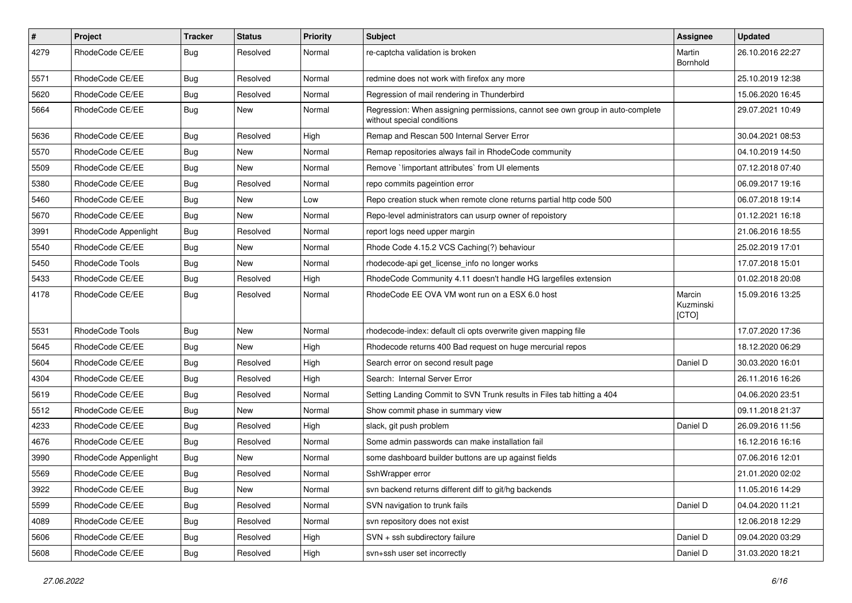| $\pmb{\#}$ | Project                | <b>Tracker</b> | <b>Status</b> | <b>Priority</b> | <b>Subject</b>                                                                                              | Assignee                     | <b>Updated</b>   |
|------------|------------------------|----------------|---------------|-----------------|-------------------------------------------------------------------------------------------------------------|------------------------------|------------------|
| 4279       | RhodeCode CE/EE        | <b>Bug</b>     | Resolved      | Normal          | re-captcha validation is broken                                                                             | Martin<br>Bornhold           | 26.10.2016 22:27 |
| 5571       | RhodeCode CE/EE        | <b>Bug</b>     | Resolved      | Normal          | redmine does not work with firefox any more                                                                 |                              | 25.10.2019 12:38 |
| 5620       | RhodeCode CE/EE        | <b>Bug</b>     | Resolved      | Normal          | Regression of mail rendering in Thunderbird                                                                 |                              | 15.06.2020 16:45 |
| 5664       | RhodeCode CE/EE        | Bug            | New           | Normal          | Regression: When assigning permissions, cannot see own group in auto-complete<br>without special conditions |                              | 29.07.2021 10:49 |
| 5636       | RhodeCode CE/EE        | Bug            | Resolved      | High            | Remap and Rescan 500 Internal Server Error                                                                  |                              | 30.04.2021 08:53 |
| 5570       | RhodeCode CE/EE        | Bug            | New           | Normal          | Remap repositories always fail in RhodeCode community                                                       |                              | 04.10.2019 14:50 |
| 5509       | RhodeCode CE/EE        | Bug            | New           | Normal          | Remove `limportant attributes` from UI elements                                                             |                              | 07.12.2018 07:40 |
| 5380       | RhodeCode CE/EE        | Bug            | Resolved      | Normal          | repo commits pageintion error                                                                               |                              | 06.09.2017 19:16 |
| 5460       | RhodeCode CE/EE        | <b>Bug</b>     | <b>New</b>    | Low             | Repo creation stuck when remote clone returns partial http code 500                                         |                              | 06.07.2018 19:14 |
| 5670       | RhodeCode CE/EE        | <b>Bug</b>     | <b>New</b>    | Normal          | Repo-level administrators can usurp owner of repoistory                                                     |                              | 01.12.2021 16:18 |
| 3991       | RhodeCode Appenlight   | <b>Bug</b>     | Resolved      | Normal          | report logs need upper margin                                                                               |                              | 21.06.2016 18:55 |
| 5540       | RhodeCode CE/EE        | Bug            | New           | Normal          | Rhode Code 4.15.2 VCS Caching(?) behaviour                                                                  |                              | 25.02.2019 17:01 |
| 5450       | RhodeCode Tools        | Bug            | <b>New</b>    | Normal          | rhodecode-api get license info no longer works                                                              |                              | 17.07.2018 15:01 |
| 5433       | RhodeCode CE/EE        | <b>Bug</b>     | Resolved      | High            | RhodeCode Community 4.11 doesn't handle HG largefiles extension                                             |                              | 01.02.2018 20:08 |
| 4178       | RhodeCode CE/EE        | Bug            | Resolved      | Normal          | RhodeCode EE OVA VM wont run on a ESX 6.0 host                                                              | Marcin<br>Kuzminski<br>[CTO] | 15.09.2016 13:25 |
| 5531       | <b>RhodeCode Tools</b> | Bug            | <b>New</b>    | Normal          | rhodecode-index: default cli opts overwrite given mapping file                                              |                              | 17.07.2020 17:36 |
| 5645       | RhodeCode CE/EE        | Bug            | <b>New</b>    | High            | Rhodecode returns 400 Bad request on huge mercurial repos                                                   |                              | 18.12.2020 06:29 |
| 5604       | RhodeCode CE/EE        | Bug            | Resolved      | High            | Search error on second result page                                                                          | Daniel D                     | 30.03.2020 16:01 |
| 4304       | RhodeCode CE/EE        | Bug            | Resolved      | High            | Search: Internal Server Error                                                                               |                              | 26.11.2016 16:26 |
| 5619       | RhodeCode CE/EE        | <b>Bug</b>     | Resolved      | Normal          | Setting Landing Commit to SVN Trunk results in Files tab hitting a 404                                      |                              | 04.06.2020 23:51 |
| 5512       | RhodeCode CE/EE        | Bug            | New           | Normal          | Show commit phase in summary view                                                                           |                              | 09.11.2018 21:37 |
| 4233       | RhodeCode CE/EE        | <b>Bug</b>     | Resolved      | High            | slack, git push problem                                                                                     | Daniel D                     | 26.09.2016 11:56 |
| 4676       | RhodeCode CE/EE        | Bug            | Resolved      | Normal          | Some admin passwords can make installation fail                                                             |                              | 16.12.2016 16:16 |
| 3990       | RhodeCode Appenlight   | Bug            | New           | Normal          | some dashboard builder buttons are up against fields                                                        |                              | 07.06.2016 12:01 |
| 5569       | RhodeCode CE/EE        | <b>Bug</b>     | Resolved      | Normal          | SshWrapper error                                                                                            |                              | 21.01.2020 02:02 |
| 3922       | RhodeCode CE/EE        | <b>Bug</b>     | New           | Normal          | svn backend returns different diff to git/hg backends                                                       |                              | 11.05.2016 14:29 |
| 5599       | RhodeCode CE/EE        | <b>Bug</b>     | Resolved      | Normal          | SVN navigation to trunk fails                                                                               | Daniel D                     | 04.04.2020 11:21 |
| 4089       | RhodeCode CE/EE        | <b>Bug</b>     | Resolved      | Normal          | svn repository does not exist                                                                               |                              | 12.06.2018 12:29 |
| 5606       | RhodeCode CE/EE        | <b>Bug</b>     | Resolved      | High            | SVN + ssh subdirectory failure                                                                              | Daniel D                     | 09.04.2020 03:29 |
| 5608       | RhodeCode CE/EE        | Bug            | Resolved      | High            | svn+ssh user set incorrectly                                                                                | Daniel D                     | 31.03.2020 18:21 |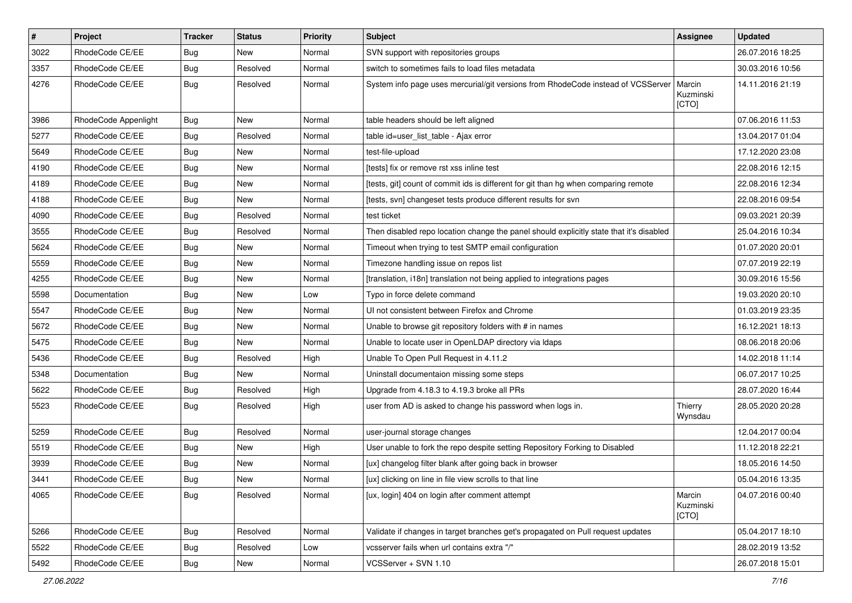| #    | Project              | <b>Tracker</b> | <b>Status</b> | <b>Priority</b> | <b>Subject</b>                                                                          | <b>Assignee</b>              | <b>Updated</b>   |
|------|----------------------|----------------|---------------|-----------------|-----------------------------------------------------------------------------------------|------------------------------|------------------|
| 3022 | RhodeCode CE/EE      | Bug            | New           | Normal          | SVN support with repositories groups                                                    |                              | 26.07.2016 18:25 |
| 3357 | RhodeCode CE/EE      | Bug            | Resolved      | Normal          | switch to sometimes fails to load files metadata                                        |                              | 30.03.2016 10:56 |
| 4276 | RhodeCode CE/EE      | Bug            | Resolved      | Normal          | System info page uses mercurial/git versions from RhodeCode instead of VCSServer        | Marcin<br>Kuzminski<br>[CTO] | 14.11.2016 21:19 |
| 3986 | RhodeCode Appenlight | Bug            | New           | Normal          | table headers should be left aligned                                                    |                              | 07.06.2016 11:53 |
| 5277 | RhodeCode CE/EE      | Bug            | Resolved      | Normal          | table id=user list table - Ajax error                                                   |                              | 13.04.2017 01:04 |
| 5649 | RhodeCode CE/EE      | <b>Bug</b>     | <b>New</b>    | Normal          | test-file-upload                                                                        |                              | 17.12.2020 23:08 |
| 4190 | RhodeCode CE/EE      | Bug            | New           | Normal          | [tests] fix or remove rst xss inline test                                               |                              | 22.08.2016 12:15 |
| 4189 | RhodeCode CE/EE      | Bug            | New           | Normal          | [tests, git] count of commit ids is different for git than hg when comparing remote     |                              | 22.08.2016 12:34 |
| 4188 | RhodeCode CE/EE      | Bug            | New           | Normal          | [tests, svn] changeset tests produce different results for svn                          |                              | 22.08.2016 09:54 |
| 4090 | RhodeCode CE/EE      | Bug            | Resolved      | Normal          | test ticket                                                                             |                              | 09.03.2021 20:39 |
| 3555 | RhodeCode CE/EE      | Bug            | Resolved      | Normal          | Then disabled repo location change the panel should explicitly state that it's disabled |                              | 25.04.2016 10:34 |
| 5624 | RhodeCode CE/EE      | Bug            | New           | Normal          | Timeout when trying to test SMTP email configuration                                    |                              | 01.07.2020 20:01 |
| 5559 | RhodeCode CE/EE      | Bug            | New           | Normal          | Timezone handling issue on repos list                                                   |                              | 07.07.2019 22:19 |
| 4255 | RhodeCode CE/EE      | Bug            | New           | Normal          | [translation, i18n] translation not being applied to integrations pages                 |                              | 30.09.2016 15:56 |
| 5598 | Documentation        | <b>Bug</b>     | New           | Low             | Typo in force delete command                                                            |                              | 19.03.2020 20:10 |
| 5547 | RhodeCode CE/EE      | Bug            | New           | Normal          | UI not consistent between Firefox and Chrome                                            |                              | 01.03.2019 23:35 |
| 5672 | RhodeCode CE/EE      | Bug            | New           | Normal          | Unable to browse git repository folders with # in names                                 |                              | 16.12.2021 18:13 |
| 5475 | RhodeCode CE/EE      | Bug            | New           | Normal          | Unable to locate user in OpenLDAP directory via Idaps                                   |                              | 08.06.2018 20:06 |
| 5436 | RhodeCode CE/EE      | Bug            | Resolved      | High            | Unable To Open Pull Request in 4.11.2                                                   |                              | 14.02.2018 11:14 |
| 5348 | Documentation        | Bug            | New           | Normal          | Uninstall documentaion missing some steps                                               |                              | 06.07.2017 10:25 |
| 5622 | RhodeCode CE/EE      | Bug            | Resolved      | High            | Upgrade from 4.18.3 to 4.19.3 broke all PRs                                             |                              | 28.07.2020 16:44 |
| 5523 | RhodeCode CE/EE      | Bug            | Resolved      | High            | user from AD is asked to change his password when logs in.                              | Thierry<br>Wynsdau           | 28.05.2020 20:28 |
| 5259 | RhodeCode CE/EE      | Bug            | Resolved      | Normal          | user-journal storage changes                                                            |                              | 12.04.2017 00:04 |
| 5519 | RhodeCode CE/EE      | Bug            | New           | High            | User unable to fork the repo despite setting Repository Forking to Disabled             |                              | 11.12.2018 22:21 |
| 3939 | RhodeCode CE/EE      | Bug            | New           | Normal          | [ux] changelog filter blank after going back in browser                                 |                              | 18.05.2016 14:50 |
| 3441 | RhodeCode CE/EE      | Bug            | New           | Normal          | [ux] clicking on line in file view scrolls to that line                                 |                              | 05.04.2016 13:35 |
| 4065 | RhodeCode CE/EE      | Bug            | Resolved      | Normal          | [ux, login] 404 on login after comment attempt                                          | Marcin<br>Kuzminski<br>[CTO] | 04.07.2016 00:40 |
| 5266 | RhodeCode CE/EE      | Bug            | Resolved      | Normal          | Validate if changes in target branches get's propagated on Pull request updates         |                              | 05.04.2017 18:10 |
| 5522 | RhodeCode CE/EE      | <b>Bug</b>     | Resolved      | Low             | vcsserver fails when url contains extra "/"                                             |                              | 28.02.2019 13:52 |
| 5492 | RhodeCode CE/EE      | <b>Bug</b>     | New           | Normal          | VCSServer + SVN 1.10                                                                    |                              | 26.07.2018 15:01 |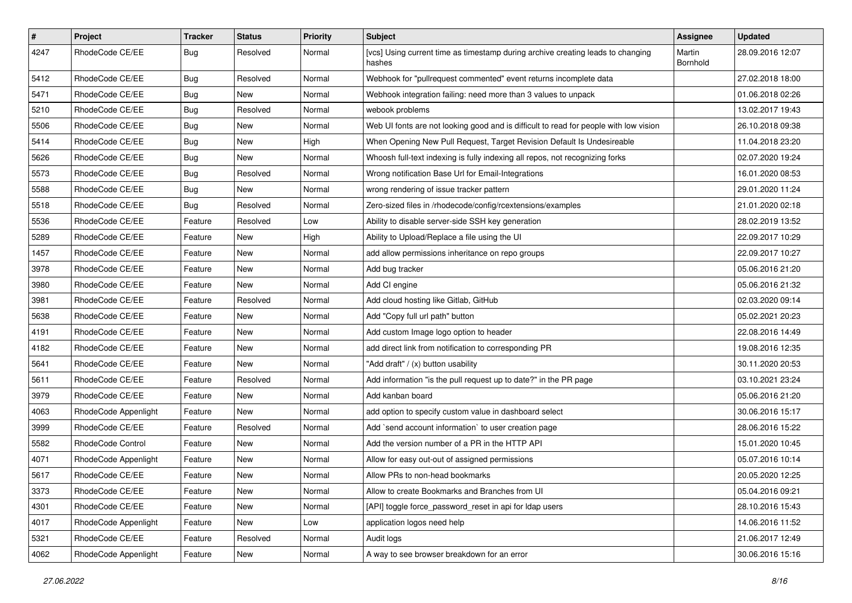| $\vert$ # | Project              | Tracker    | <b>Status</b> | <b>Priority</b> | Subject                                                                                   | <b>Assignee</b>    | <b>Updated</b>   |
|-----------|----------------------|------------|---------------|-----------------|-------------------------------------------------------------------------------------------|--------------------|------------------|
| 4247      | RhodeCode CE/EE      | Bug        | Resolved      | Normal          | [vcs] Using current time as timestamp during archive creating leads to changing<br>hashes | Martin<br>Bornhold | 28.09.2016 12:07 |
| 5412      | RhodeCode CE/EE      | <b>Bug</b> | Resolved      | Normal          | Webhook for "pullrequest commented" event returns incomplete data                         |                    | 27.02.2018 18:00 |
| 5471      | RhodeCode CE/EE      | <b>Bug</b> | New           | Normal          | Webhook integration failing: need more than 3 values to unpack                            |                    | 01.06.2018 02:26 |
| 5210      | RhodeCode CE/EE      | <b>Bug</b> | Resolved      | Normal          | webook problems                                                                           |                    | 13.02.2017 19:43 |
| 5506      | RhodeCode CE/EE      | <b>Bug</b> | New           | Normal          | Web UI fonts are not looking good and is difficult to read for people with low vision     |                    | 26.10.2018 09:38 |
| 5414      | RhodeCode CE/EE      | <b>Bug</b> | New           | High            | When Opening New Pull Request, Target Revision Default Is Undesireable                    |                    | 11.04.2018 23:20 |
| 5626      | RhodeCode CE/EE      | <b>Bug</b> | New           | Normal          | Whoosh full-text indexing is fully indexing all repos, not recognizing forks              |                    | 02.07.2020 19:24 |
| 5573      | RhodeCode CE/EE      | <b>Bug</b> | Resolved      | Normal          | Wrong notification Base Url for Email-Integrations                                        |                    | 16.01.2020 08:53 |
| 5588      | RhodeCode CE/EE      | <b>Bug</b> | New           | Normal          | wrong rendering of issue tracker pattern                                                  |                    | 29.01.2020 11:24 |
| 5518      | RhodeCode CE/EE      | Bug        | Resolved      | Normal          | Zero-sized files in /rhodecode/config/rcextensions/examples                               |                    | 21.01.2020 02:18 |
| 5536      | RhodeCode CE/EE      | Feature    | Resolved      | Low             | Ability to disable server-side SSH key generation                                         |                    | 28.02.2019 13:52 |
| 5289      | RhodeCode CE/EE      | Feature    | New           | High            | Ability to Upload/Replace a file using the UI                                             |                    | 22.09.2017 10:29 |
| 1457      | RhodeCode CE/EE      | Feature    | New           | Normal          | add allow permissions inheritance on repo groups                                          |                    | 22.09.2017 10:27 |
| 3978      | RhodeCode CE/EE      | Feature    | New           | Normal          | Add bug tracker                                                                           |                    | 05.06.2016 21:20 |
| 3980      | RhodeCode CE/EE      | Feature    | New           | Normal          | Add CI engine                                                                             |                    | 05.06.2016 21:32 |
| 3981      | RhodeCode CE/EE      | Feature    | Resolved      | Normal          | Add cloud hosting like Gitlab, GitHub                                                     |                    | 02.03.2020 09:14 |
| 5638      | RhodeCode CE/EE      | Feature    | New           | Normal          | Add "Copy full url path" button                                                           |                    | 05.02.2021 20:23 |
| 4191      | RhodeCode CE/EE      | Feature    | New           | Normal          | Add custom Image logo option to header                                                    |                    | 22.08.2016 14:49 |
| 4182      | RhodeCode CE/EE      | Feature    | New           | Normal          | add direct link from notification to corresponding PR                                     |                    | 19.08.2016 12:35 |
| 5641      | RhodeCode CE/EE      | Feature    | New           | Normal          | "Add draft" / (x) button usability                                                        |                    | 30.11.2020 20:53 |
| 5611      | RhodeCode CE/EE      | Feature    | Resolved      | Normal          | Add information "is the pull request up to date?" in the PR page                          |                    | 03.10.2021 23:24 |
| 3979      | RhodeCode CE/EE      | Feature    | New           | Normal          | Add kanban board                                                                          |                    | 05.06.2016 21:20 |
| 4063      | RhodeCode Appenlight | Feature    | New           | Normal          | add option to specify custom value in dashboard select                                    |                    | 30.06.2016 15:17 |
| 3999      | RhodeCode CE/EE      | Feature    | Resolved      | Normal          | Add `send account information` to user creation page                                      |                    | 28.06.2016 15:22 |
| 5582      | RhodeCode Control    | Feature    | New           | Normal          | Add the version number of a PR in the HTTP API                                            |                    | 15.01.2020 10:45 |
| 4071      | RhodeCode Appenlight | Feature    | New           | Normal          | Allow for easy out-out of assigned permissions                                            |                    | 05.07.2016 10:14 |
| 5617      | RhodeCode CE/EE      | Feature    | New           | Normal          | Allow PRs to non-head bookmarks                                                           |                    | 20.05.2020 12:25 |
| 3373      | RhodeCode CE/EE      | Feature    | New           | Normal          | Allow to create Bookmarks and Branches from UI                                            |                    | 05.04.2016 09:21 |
| 4301      | RhodeCode CE/EE      | Feature    | New           | Normal          | [API] toggle force password reset in api for Idap users                                   |                    | 28.10.2016 15:43 |
| 4017      | RhodeCode Appenlight | Feature    | New           | Low             | application logos need help                                                               |                    | 14.06.2016 11:52 |
| 5321      | RhodeCode CE/EE      | Feature    | Resolved      | Normal          | Audit logs                                                                                |                    | 21.06.2017 12:49 |
| 4062      | RhodeCode Appenlight | Feature    | New           | Normal          | A way to see browser breakdown for an error                                               |                    | 30.06.2016 15:16 |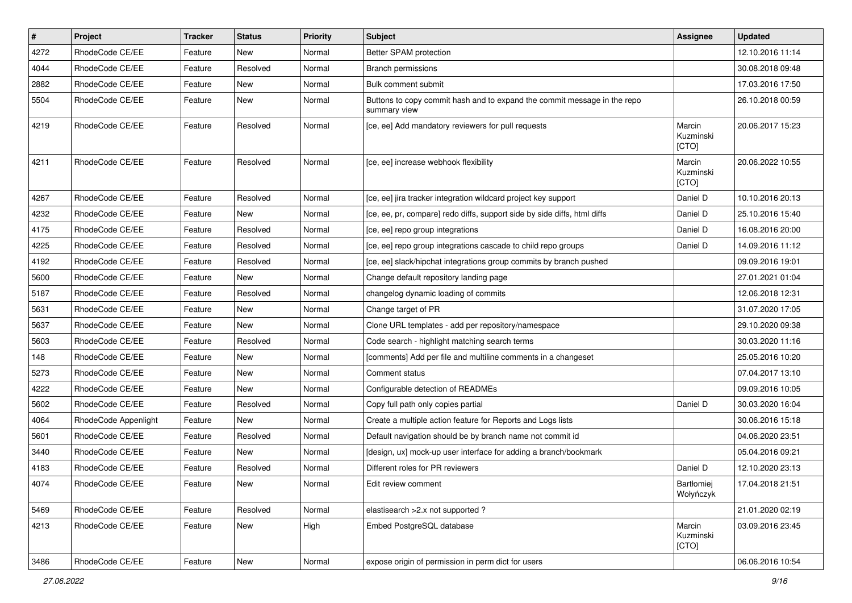| #    | Project              | <b>Tracker</b> | <b>Status</b> | <b>Priority</b> | <b>Subject</b>                                                                           | <b>Assignee</b>              | <b>Updated</b>   |
|------|----------------------|----------------|---------------|-----------------|------------------------------------------------------------------------------------------|------------------------------|------------------|
| 4272 | RhodeCode CE/EE      | Feature        | New           | Normal          | Better SPAM protection                                                                   |                              | 12.10.2016 11:14 |
| 4044 | RhodeCode CE/EE      | Feature        | Resolved      | Normal          | Branch permissions                                                                       |                              | 30.08.2018 09:48 |
| 2882 | RhodeCode CE/EE      | Feature        | New           | Normal          | Bulk comment submit                                                                      |                              | 17.03.2016 17:50 |
| 5504 | RhodeCode CE/EE      | Feature        | New           | Normal          | Buttons to copy commit hash and to expand the commit message in the repo<br>summary view |                              | 26.10.2018 00:59 |
| 4219 | RhodeCode CE/EE      | Feature        | Resolved      | Normal          | [ce, ee] Add mandatory reviewers for pull requests                                       | Marcin<br>Kuzminski<br>[CTO] | 20.06.2017 15:23 |
| 4211 | RhodeCode CE/EE      | Feature        | Resolved      | Normal          | [ce, ee] increase webhook flexibility                                                    | Marcin<br>Kuzminski<br>[CTO] | 20.06.2022 10:55 |
| 4267 | RhodeCode CE/EE      | Feature        | Resolved      | Normal          | [ce, ee] jira tracker integration wildcard project key support                           | Daniel D                     | 10.10.2016 20:13 |
| 4232 | RhodeCode CE/EE      | Feature        | <b>New</b>    | Normal          | [ce, ee, pr, compare] redo diffs, support side by side diffs, html diffs                 | Daniel D                     | 25.10.2016 15:40 |
| 4175 | RhodeCode CE/EE      | Feature        | Resolved      | Normal          | [ce, ee] repo group integrations                                                         | Daniel D                     | 16.08.2016 20:00 |
| 4225 | RhodeCode CE/EE      | Feature        | Resolved      | Normal          | [ce, ee] repo group integrations cascade to child repo groups                            | Daniel D                     | 14.09.2016 11:12 |
| 4192 | RhodeCode CE/EE      | Feature        | Resolved      | Normal          | [ce, ee] slack/hipchat integrations group commits by branch pushed                       |                              | 09.09.2016 19:01 |
| 5600 | RhodeCode CE/EE      | Feature        | New           | Normal          | Change default repository landing page                                                   |                              | 27.01.2021 01:04 |
| 5187 | RhodeCode CE/EE      | Feature        | Resolved      | Normal          | changelog dynamic loading of commits                                                     |                              | 12.06.2018 12:31 |
| 5631 | RhodeCode CE/EE      | Feature        | New           | Normal          | Change target of PR                                                                      |                              | 31.07.2020 17:05 |
| 5637 | RhodeCode CE/EE      | Feature        | New           | Normal          | Clone URL templates - add per repository/namespace                                       |                              | 29.10.2020 09:38 |
| 5603 | RhodeCode CE/EE      | Feature        | Resolved      | Normal          | Code search - highlight matching search terms                                            |                              | 30.03.2020 11:16 |
| 148  | RhodeCode CE/EE      | Feature        | New           | Normal          | [comments] Add per file and multiline comments in a changeset                            |                              | 25.05.2016 10:20 |
| 5273 | RhodeCode CE/EE      | Feature        | New           | Normal          | Comment status                                                                           |                              | 07.04.2017 13:10 |
| 4222 | RhodeCode CE/EE      | Feature        | New           | Normal          | Configurable detection of READMEs                                                        |                              | 09.09.2016 10:05 |
| 5602 | RhodeCode CE/EE      | Feature        | Resolved      | Normal          | Copy full path only copies partial                                                       | Daniel D                     | 30.03.2020 16:04 |
| 4064 | RhodeCode Appenlight | Feature        | <b>New</b>    | Normal          | Create a multiple action feature for Reports and Logs lists                              |                              | 30.06.2016 15:18 |
| 5601 | RhodeCode CE/EE      | Feature        | Resolved      | Normal          | Default navigation should be by branch name not commit id                                |                              | 04.06.2020 23:51 |
| 3440 | RhodeCode CE/EE      | Feature        | <b>New</b>    | Normal          | [design, ux] mock-up user interface for adding a branch/bookmark                         |                              | 05.04.2016 09:21 |
| 4183 | RhodeCode CE/EE      | Feature        | Resolved      | Normal          | Different roles for PR reviewers                                                         | Daniel D                     | 12.10.2020 23:13 |
| 4074 | RhodeCode CE/EE      | Feature        | New           | Normal          | Edit review comment                                                                      | Bartłomiej<br>Wołyńczyk      | 17.04.2018 21:51 |
| 5469 | RhodeCode CE/EE      | Feature        | Resolved      | Normal          | elastisearch > 2.x not supported ?                                                       |                              | 21.01.2020 02:19 |
| 4213 | RhodeCode CE/EE      | Feature        | New           | High            | Embed PostgreSQL database                                                                | Marcin<br>Kuzminski<br>[CTO] | 03.09.2016 23:45 |
| 3486 | RhodeCode CE/EE      | Feature        | New           | Normal          | expose origin of permission in perm dict for users                                       |                              | 06.06.2016 10:54 |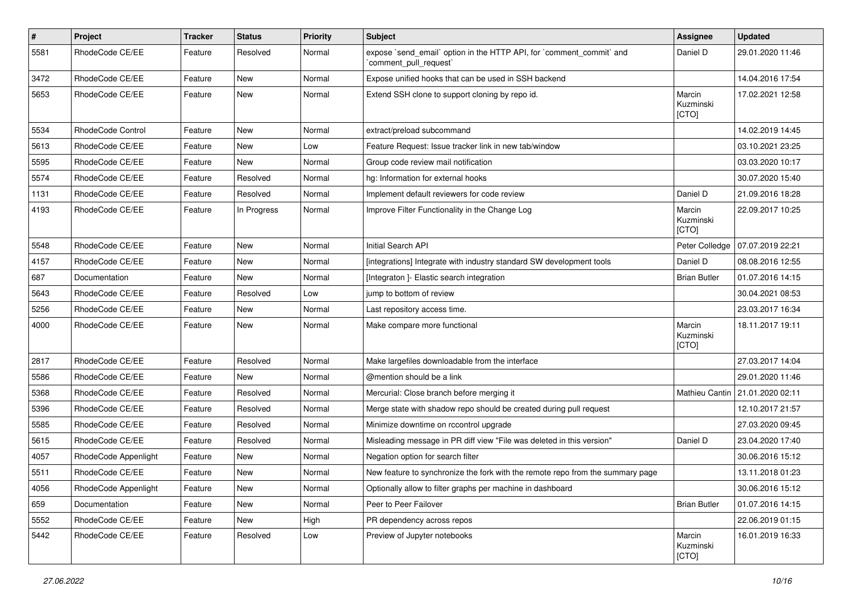| $\#$ | Project                  | <b>Tracker</b> | <b>Status</b> | <b>Priority</b> | Subject                                                                                      | Assignee                            | <b>Updated</b>   |
|------|--------------------------|----------------|---------------|-----------------|----------------------------------------------------------------------------------------------|-------------------------------------|------------------|
| 5581 | RhodeCode CE/EE          | Feature        | Resolved      | Normal          | expose `send_email` option in the HTTP API, for `comment_commit` and<br>comment pull request | Daniel D                            | 29.01.2020 11:46 |
| 3472 | RhodeCode CE/EE          | Feature        | <b>New</b>    | Normal          | Expose unified hooks that can be used in SSH backend                                         |                                     | 14.04.2016 17:54 |
| 5653 | RhodeCode CE/EE          | Feature        | New           | Normal          | Extend SSH clone to support cloning by repo id.                                              | Marcin<br>Kuzminski<br>[CTO]        | 17.02.2021 12:58 |
| 5534 | <b>RhodeCode Control</b> | Feature        | <b>New</b>    | Normal          | extract/preload subcommand                                                                   |                                     | 14.02.2019 14:45 |
| 5613 | RhodeCode CE/EE          | Feature        | New           | Low             | Feature Request: Issue tracker link in new tab/window                                        |                                     | 03.10.2021 23:25 |
| 5595 | RhodeCode CE/EE          | Feature        | <b>New</b>    | Normal          | Group code review mail notification                                                          |                                     | 03.03.2020 10:17 |
| 5574 | RhodeCode CE/EE          | Feature        | Resolved      | Normal          | hg: Information for external hooks                                                           |                                     | 30.07.2020 15:40 |
| 1131 | RhodeCode CE/EE          | Feature        | Resolved      | Normal          | Implement default reviewers for code review                                                  | Daniel D                            | 21.09.2016 18:28 |
| 4193 | RhodeCode CE/EE          | Feature        | In Progress   | Normal          | Improve Filter Functionality in the Change Log                                               | Marcin<br>Kuzminski<br><b>[CTO]</b> | 22.09.2017 10:25 |
| 5548 | RhodeCode CE/EE          | Feature        | <b>New</b>    | Normal          | Initial Search API                                                                           | Peter Colledge                      | 07.07.2019 22:21 |
| 4157 | RhodeCode CE/EE          | Feature        | New           | Normal          | [integrations] Integrate with industry standard SW development tools                         | Daniel D                            | 08.08.2016 12:55 |
| 687  | Documentation            | Feature        | <b>New</b>    | Normal          | [Integraton ]- Elastic search integration                                                    | <b>Brian Butler</b>                 | 01.07.2016 14:15 |
| 5643 | RhodeCode CE/EE          | Feature        | Resolved      | Low             | jump to bottom of review                                                                     |                                     | 30.04.2021 08:53 |
| 5256 | RhodeCode CE/EE          | Feature        | New           | Normal          | Last repository access time.                                                                 |                                     | 23.03.2017 16:34 |
| 4000 | RhodeCode CE/EE          | Feature        | New           | Normal          | Make compare more functional                                                                 | Marcin<br>Kuzminski<br>[CTO]        | 18.11.2017 19:11 |
| 2817 | RhodeCode CE/EE          | Feature        | Resolved      | Normal          | Make largefiles downloadable from the interface                                              |                                     | 27.03.2017 14:04 |
| 5586 | RhodeCode CE/EE          | Feature        | New           | Normal          | @mention should be a link                                                                    |                                     | 29.01.2020 11:46 |
| 5368 | RhodeCode CE/EE          | Feature        | Resolved      | Normal          | Mercurial: Close branch before merging it                                                    | Mathieu Cantin                      | 21.01.2020 02:11 |
| 5396 | RhodeCode CE/EE          | Feature        | Resolved      | Normal          | Merge state with shadow repo should be created during pull request                           |                                     | 12.10.2017 21:57 |
| 5585 | RhodeCode CE/EE          | Feature        | Resolved      | Normal          | Minimize downtime on rccontrol upgrade                                                       |                                     | 27.03.2020 09:45 |
| 5615 | RhodeCode CE/EE          | Feature        | Resolved      | Normal          | Misleading message in PR diff view "File was deleted in this version"                        | Daniel D                            | 23.04.2020 17:40 |
| 4057 | RhodeCode Appenlight     | Feature        | New           | Normal          | Negation option for search filter                                                            |                                     | 30.06.2016 15:12 |
| 5511 | RhodeCode CE/EE          | Feature        | New           | Normal          | New feature to synchronize the fork with the remote repo from the summary page               |                                     | 13.11.2018 01:23 |
| 4056 | RhodeCode Appenlight     | Feature        | New           | Normal          | Optionally allow to filter graphs per machine in dashboard                                   |                                     | 30.06.2016 15:12 |
| 659  | Documentation            | Feature        | New           | Normal          | Peer to Peer Failover                                                                        | <b>Brian Butler</b>                 | 01.07.2016 14:15 |
| 5552 | RhodeCode CE/EE          | Feature        | New           | High            | PR dependency across repos                                                                   |                                     | 22.06.2019 01:15 |
| 5442 | RhodeCode CE/EE          | Feature        | Resolved      | Low             | Preview of Jupyter notebooks                                                                 | Marcin<br>Kuzminski<br>[CTO]        | 16.01.2019 16:33 |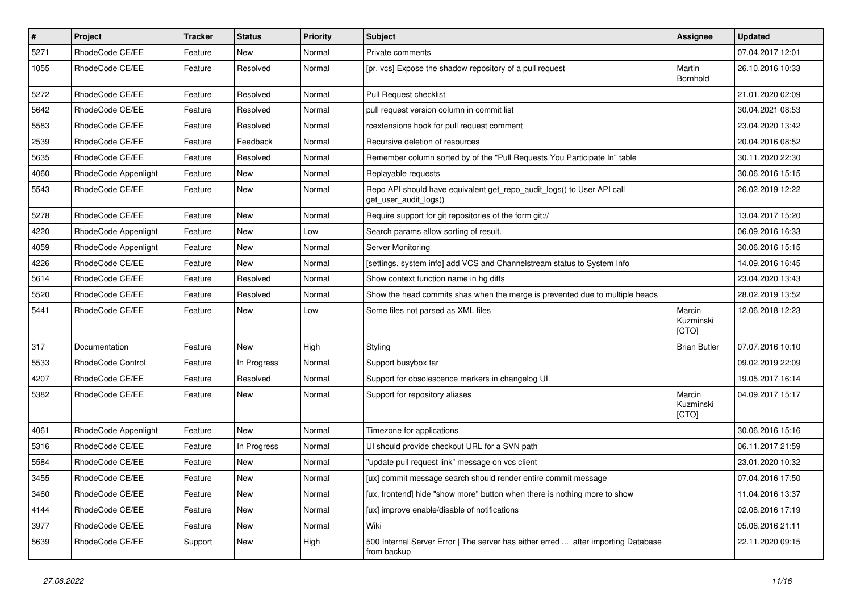| $\vert$ # | Project              | Tracker | <b>Status</b> | <b>Priority</b> | <b>Subject</b>                                                                                   | Assignee                     | <b>Updated</b>   |
|-----------|----------------------|---------|---------------|-----------------|--------------------------------------------------------------------------------------------------|------------------------------|------------------|
| 5271      | RhodeCode CE/EE      | Feature | New           | Normal          | Private comments                                                                                 |                              | 07.04.2017 12:01 |
| 1055      | RhodeCode CE/EE      | Feature | Resolved      | Normal          | [pr, vcs] Expose the shadow repository of a pull request                                         | Martin<br>Bornhold           | 26.10.2016 10:33 |
| 5272      | RhodeCode CE/EE      | Feature | Resolved      | Normal          | Pull Request checklist                                                                           |                              | 21.01.2020 02:09 |
| 5642      | RhodeCode CE/EE      | Feature | Resolved      | Normal          | pull request version column in commit list                                                       |                              | 30.04.2021 08:53 |
| 5583      | RhodeCode CE/EE      | Feature | Resolved      | Normal          | rcextensions hook for pull request comment                                                       |                              | 23.04.2020 13:42 |
| 2539      | RhodeCode CE/EE      | Feature | Feedback      | Normal          | Recursive deletion of resources                                                                  |                              | 20.04.2016 08:52 |
| 5635      | RhodeCode CE/EE      | Feature | Resolved      | Normal          | Remember column sorted by of the "Pull Requests You Participate In" table                        |                              | 30.11.2020 22:30 |
| 4060      | RhodeCode Appenlight | Feature | New           | Normal          | Replayable requests                                                                              |                              | 30.06.2016 15:15 |
| 5543      | RhodeCode CE/EE      | Feature | New           | Normal          | Repo API should have equivalent get_repo_audit_logs() to User API call<br>get user audit logs()  |                              | 26.02.2019 12:22 |
| 5278      | RhodeCode CE/EE      | Feature | New           | Normal          | Require support for git repositories of the form git://                                          |                              | 13.04.2017 15:20 |
| 4220      | RhodeCode Appenlight | Feature | New           | Low             | Search params allow sorting of result.                                                           |                              | 06.09.2016 16:33 |
| 4059      | RhodeCode Appenlight | Feature | New           | Normal          | Server Monitoring                                                                                |                              | 30.06.2016 15:15 |
| 4226      | RhodeCode CE/EE      | Feature | New           | Normal          | [settings, system info] add VCS and Channelstream status to System Info                          |                              | 14.09.2016 16:45 |
| 5614      | RhodeCode CE/EE      | Feature | Resolved      | Normal          | Show context function name in hg diffs                                                           |                              | 23.04.2020 13:43 |
| 5520      | RhodeCode CE/EE      | Feature | Resolved      | Normal          | Show the head commits shas when the merge is prevented due to multiple heads                     |                              | 28.02.2019 13:52 |
| 5441      | RhodeCode CE/EE      | Feature | New           | Low             | Some files not parsed as XML files                                                               | Marcin<br>Kuzminski<br>[CTO] | 12.06.2018 12:23 |
| 317       | Documentation        | Feature | <b>New</b>    | High            | Styling                                                                                          | <b>Brian Butler</b>          | 07.07.2016 10:10 |
| 5533      | RhodeCode Control    | Feature | In Progress   | Normal          | Support busybox tar                                                                              |                              | 09.02.2019 22:09 |
| 4207      | RhodeCode CE/EE      | Feature | Resolved      | Normal          | Support for obsolescence markers in changelog UI                                                 |                              | 19.05.2017 16:14 |
| 5382      | RhodeCode CE/EE      | Feature | New           | Normal          | Support for repository aliases                                                                   | Marcin<br>Kuzminski<br>[CTO] | 04.09.2017 15:17 |
| 4061      | RhodeCode Appenlight | Feature | New           | Normal          | Timezone for applications                                                                        |                              | 30.06.2016 15:16 |
| 5316      | RhodeCode CE/EE      | Feature | In Progress   | Normal          | UI should provide checkout URL for a SVN path                                                    |                              | 06.11.2017 21:59 |
| 5584      | RhodeCode CE/EE      | Feature | New           | Normal          | "update pull request link" message on vcs client                                                 |                              | 23.01.2020 10:32 |
| 3455      | RhodeCode CE/EE      | Feature | New           | Normal          | [ux] commit message search should render entire commit message                                   |                              | 07.04.2016 17:50 |
| 3460      | RhodeCode CE/EE      | Feature | New           | Normal          | [ux, frontend] hide "show more" button when there is nothing more to show                        |                              | 11.04.2016 13:37 |
| 4144      | RhodeCode CE/EE      | Feature | New           | Normal          | [ux] improve enable/disable of notifications                                                     |                              | 02.08.2016 17:19 |
| 3977      | RhodeCode CE/EE      | Feature | New           | Normal          | Wiki                                                                                             |                              | 05.06.2016 21:11 |
| 5639      | RhodeCode CE/EE      | Support | New           | High            | 500 Internal Server Error   The server has either erred  after importing Database<br>from backup |                              | 22.11.2020 09:15 |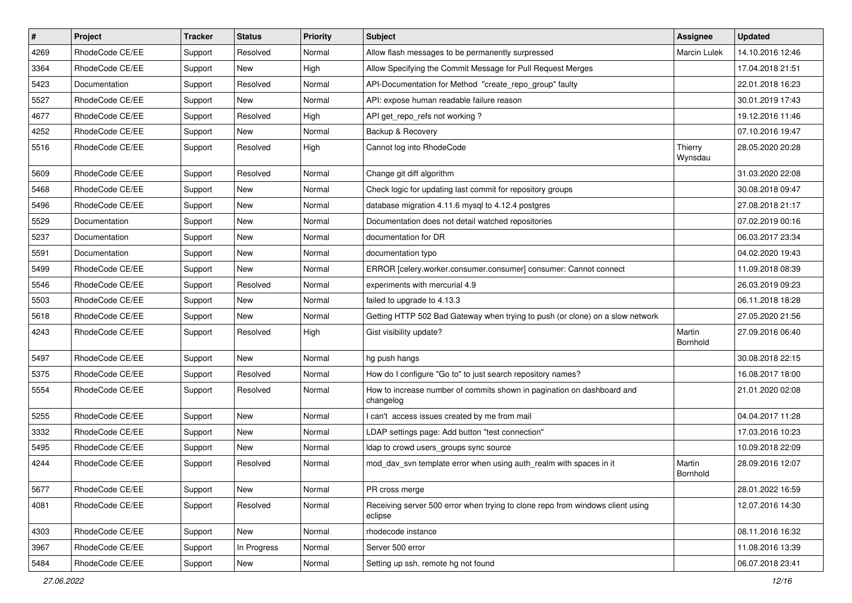| $\pmb{\#}$ | Project         | <b>Tracker</b> | <b>Status</b> | <b>Priority</b> | Subject                                                                                   | <b>Assignee</b>    | <b>Updated</b>   |
|------------|-----------------|----------------|---------------|-----------------|-------------------------------------------------------------------------------------------|--------------------|------------------|
| 4269       | RhodeCode CE/EE | Support        | Resolved      | Normal          | Allow flash messages to be permanently surpressed                                         | Marcin Lulek       | 14.10.2016 12:46 |
| 3364       | RhodeCode CE/EE | Support        | <b>New</b>    | High            | Allow Specifying the Commit Message for Pull Request Merges                               |                    | 17.04.2018 21:51 |
| 5423       | Documentation   | Support        | Resolved      | Normal          | API-Documentation for Method "create repo group" faulty                                   |                    | 22.01.2018 16:23 |
| 5527       | RhodeCode CE/EE | Support        | New           | Normal          | API: expose human readable failure reason                                                 |                    | 30.01.2019 17:43 |
| 4677       | RhodeCode CE/EE | Support        | Resolved      | High            | API get repo refs not working?                                                            |                    | 19.12.2016 11:46 |
| 4252       | RhodeCode CE/EE | Support        | New           | Normal          | Backup & Recovery                                                                         |                    | 07.10.2016 19:47 |
| 5516       | RhodeCode CE/EE | Support        | Resolved      | High            | Cannot log into RhodeCode                                                                 | Thierry<br>Wynsdau | 28.05.2020 20:28 |
| 5609       | RhodeCode CE/EE | Support        | Resolved      | Normal          | Change git diff algorithm                                                                 |                    | 31.03.2020 22:08 |
| 5468       | RhodeCode CE/EE | Support        | New           | Normal          | Check logic for updating last commit for repository groups                                |                    | 30.08.2018 09:47 |
| 5496       | RhodeCode CE/EE | Support        | New           | Normal          | database migration 4.11.6 mysql to 4.12.4 postgres                                        |                    | 27.08.2018 21:17 |
| 5529       | Documentation   | Support        | New           | Normal          | Documentation does not detail watched repositories                                        |                    | 07.02.2019 00:16 |
| 5237       | Documentation   | Support        | <b>New</b>    | Normal          | documentation for DR                                                                      |                    | 06.03.2017 23:34 |
| 5591       | Documentation   | Support        | New           | Normal          | documentation typo                                                                        |                    | 04.02.2020 19:43 |
| 5499       | RhodeCode CE/EE | Support        | <b>New</b>    | Normal          | ERROR [celery.worker.consumer.consumer] consumer: Cannot connect                          |                    | 11.09.2018 08:39 |
| 5546       | RhodeCode CE/EE | Support        | Resolved      | Normal          | experiments with mercurial 4.9                                                            |                    | 26.03.2019 09:23 |
| 5503       | RhodeCode CE/EE | Support        | New           | Normal          | failed to upgrade to 4.13.3                                                               |                    | 06.11.2018 18:28 |
| 5618       | RhodeCode CE/EE | Support        | <b>New</b>    | Normal          | Getting HTTP 502 Bad Gateway when trying to push (or clone) on a slow network             |                    | 27.05.2020 21:56 |
| 4243       | RhodeCode CE/EE | Support        | Resolved      | High            | Gist visibility update?                                                                   | Martin<br>Bornhold | 27.09.2016 06:40 |
| 5497       | RhodeCode CE/EE | Support        | New           | Normal          | hg push hangs                                                                             |                    | 30.08.2018 22:15 |
| 5375       | RhodeCode CE/EE | Support        | Resolved      | Normal          | How do I configure "Go to" to just search repository names?                               |                    | 16.08.2017 18:00 |
| 5554       | RhodeCode CE/EE | Support        | Resolved      | Normal          | How to increase number of commits shown in pagination on dashboard and<br>changelog       |                    | 21.01.2020 02:08 |
| 5255       | RhodeCode CE/EE | Support        | <b>New</b>    | Normal          | I can't access issues created by me from mail                                             |                    | 04.04.2017 11:28 |
| 3332       | RhodeCode CE/EE | Support        | <b>New</b>    | Normal          | LDAP settings page: Add button "test connection"                                          |                    | 17.03.2016 10:23 |
| 5495       | RhodeCode CE/EE | Support        | New           | Normal          | Idap to crowd users_groups sync source                                                    |                    | 10.09.2018 22:09 |
| 4244       | RhodeCode CE/EE | Support        | Resolved      | Normal          | mod_dav_svn template error when using auth_realm with spaces in it                        | Martin<br>Bornhold | 28.09.2016 12:07 |
| 5677       | RhodeCode CE/EE | Support        | New           | Normal          | PR cross merge                                                                            |                    | 28.01.2022 16:59 |
| 4081       | RhodeCode CE/EE | Support        | Resolved      | Normal          | Receiving server 500 error when trying to clone repo from windows client using<br>eclipse |                    | 12.07.2016 14:30 |
| 4303       | RhodeCode CE/EE | Support        | New           | Normal          | rhodecode instance                                                                        |                    | 08.11.2016 16:32 |
| 3967       | RhodeCode CE/EE | Support        | In Progress   | Normal          | Server 500 error                                                                          |                    | 11.08.2016 13:39 |
| 5484       | RhodeCode CE/EE | Support        | New           | Normal          | Setting up ssh, remote hg not found                                                       |                    | 06.07.2018 23:41 |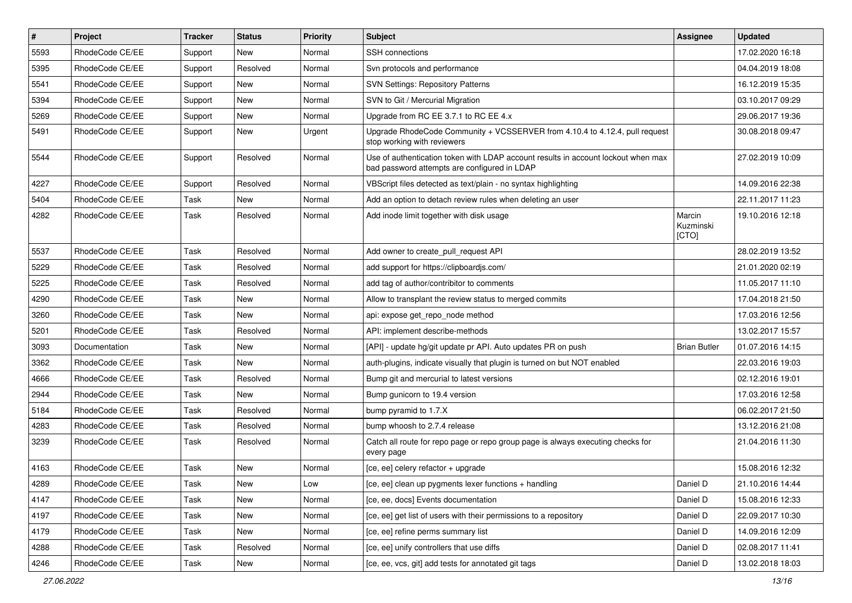| $\pmb{\#}$ | <b>Project</b>  | <b>Tracker</b> | <b>Status</b> | <b>Priority</b> | <b>Subject</b>                                                                                                                    | <b>Assignee</b>              | <b>Updated</b>   |
|------------|-----------------|----------------|---------------|-----------------|-----------------------------------------------------------------------------------------------------------------------------------|------------------------------|------------------|
| 5593       | RhodeCode CE/EE | Support        | <b>New</b>    | Normal          | SSH connections                                                                                                                   |                              | 17.02.2020 16:18 |
| 5395       | RhodeCode CE/EE | Support        | Resolved      | Normal          | Svn protocols and performance                                                                                                     |                              | 04.04.2019 18:08 |
| 5541       | RhodeCode CE/EE | Support        | New           | Normal          | <b>SVN Settings: Repository Patterns</b>                                                                                          |                              | 16.12.2019 15:35 |
| 5394       | RhodeCode CE/EE | Support        | New           | Normal          | SVN to Git / Mercurial Migration                                                                                                  |                              | 03.10.2017 09:29 |
| 5269       | RhodeCode CE/EE | Support        | <b>New</b>    | Normal          | Upgrade from RC EE 3.7.1 to RC EE 4.x                                                                                             |                              | 29.06.2017 19:36 |
| 5491       | RhodeCode CE/EE | Support        | New           | Urgent          | Upgrade RhodeCode Community + VCSSERVER from 4.10.4 to 4.12.4, pull request<br>stop working with reviewers                        |                              | 30.08.2018 09:47 |
| 5544       | RhodeCode CE/EE | Support        | Resolved      | Normal          | Use of authentication token with LDAP account results in account lockout when max<br>bad password attempts are configured in LDAP |                              | 27.02.2019 10:09 |
| 4227       | RhodeCode CE/EE | Support        | Resolved      | Normal          | VBScript files detected as text/plain - no syntax highlighting                                                                    |                              | 14.09.2016 22:38 |
| 5404       | RhodeCode CE/EE | Task           | <b>New</b>    | Normal          | Add an option to detach review rules when deleting an user                                                                        |                              | 22.11.2017 11:23 |
| 4282       | RhodeCode CE/EE | Task           | Resolved      | Normal          | Add inode limit together with disk usage                                                                                          | Marcin<br>Kuzminski<br>[CTO] | 19.10.2016 12:18 |
| 5537       | RhodeCode CE/EE | Task           | Resolved      | Normal          | Add owner to create pull request API                                                                                              |                              | 28.02.2019 13:52 |
| 5229       | RhodeCode CE/EE | Task           | Resolved      | Normal          | add support for https://clipboardjs.com/                                                                                          |                              | 21.01.2020 02:19 |
| 5225       | RhodeCode CE/EE | Task           | Resolved      | Normal          | add tag of author/contribitor to comments                                                                                         |                              | 11.05.2017 11:10 |
| 4290       | RhodeCode CE/EE | Task           | <b>New</b>    | Normal          | Allow to transplant the review status to merged commits                                                                           |                              | 17.04.2018 21:50 |
| 3260       | RhodeCode CE/EE | Task           | <b>New</b>    | Normal          | api: expose get repo node method                                                                                                  |                              | 17.03.2016 12:56 |
| 5201       | RhodeCode CE/EE | Task           | Resolved      | Normal          | API: implement describe-methods                                                                                                   |                              | 13.02.2017 15:57 |
| 3093       | Documentation   | Task           | <b>New</b>    | Normal          | [API] - update hg/git update pr API. Auto updates PR on push                                                                      | <b>Brian Butler</b>          | 01.07.2016 14:15 |
| 3362       | RhodeCode CE/EE | Task           | New           | Normal          | auth-plugins, indicate visually that plugin is turned on but NOT enabled                                                          |                              | 22.03.2016 19:03 |
| 4666       | RhodeCode CE/EE | Task           | Resolved      | Normal          | Bump git and mercurial to latest versions                                                                                         |                              | 02.12.2016 19:01 |
| 2944       | RhodeCode CE/EE | Task           | <b>New</b>    | Normal          | Bump gunicorn to 19.4 version                                                                                                     |                              | 17.03.2016 12:58 |
| 5184       | RhodeCode CE/EE | Task           | Resolved      | Normal          | bump pyramid to 1.7.X                                                                                                             |                              | 06.02.2017 21:50 |
| 4283       | RhodeCode CE/EE | Task           | Resolved      | Normal          | bump whoosh to 2.7.4 release                                                                                                      |                              | 13.12.2016 21:08 |
| 3239       | RhodeCode CE/EE | Task           | Resolved      | Normal          | Catch all route for repo page or repo group page is always executing checks for<br>every page                                     |                              | 21.04.2016 11:30 |
| 4163       | RhodeCode CE/EE | <b>Task</b>    | <b>New</b>    | Normal          | [ce, ee] celery refactor + upgrade                                                                                                |                              | 15.08.2016 12:32 |
| 4289       | RhodeCode CE/EE | Task           | New           | Low             | [ce, ee] clean up pygments lexer functions + handling                                                                             | Daniel D                     | 21.10.2016 14:44 |
| 4147       | RhodeCode CE/EE | Task           | <b>New</b>    | Normal          | [ce, ee, docs] Events documentation                                                                                               | Daniel D                     | 15.08.2016 12:33 |
| 4197       | RhodeCode CE/EE | Task           | New           | Normal          | [ce, ee] get list of users with their permissions to a repository                                                                 | Daniel D                     | 22.09.2017 10:30 |
| 4179       | RhodeCode CE/EE | Task           | New           | Normal          | [ce, ee] refine perms summary list                                                                                                | Daniel D                     | 14.09.2016 12:09 |
| 4288       | RhodeCode CE/EE | Task           | Resolved      | Normal          | [ce, ee] unify controllers that use diffs                                                                                         | Daniel D                     | 02.08.2017 11:41 |
| 4246       | RhodeCode CE/EE | Task           | New           | Normal          | [ce, ee, vcs, git] add tests for annotated git tags                                                                               | Daniel D                     | 13.02.2018 18:03 |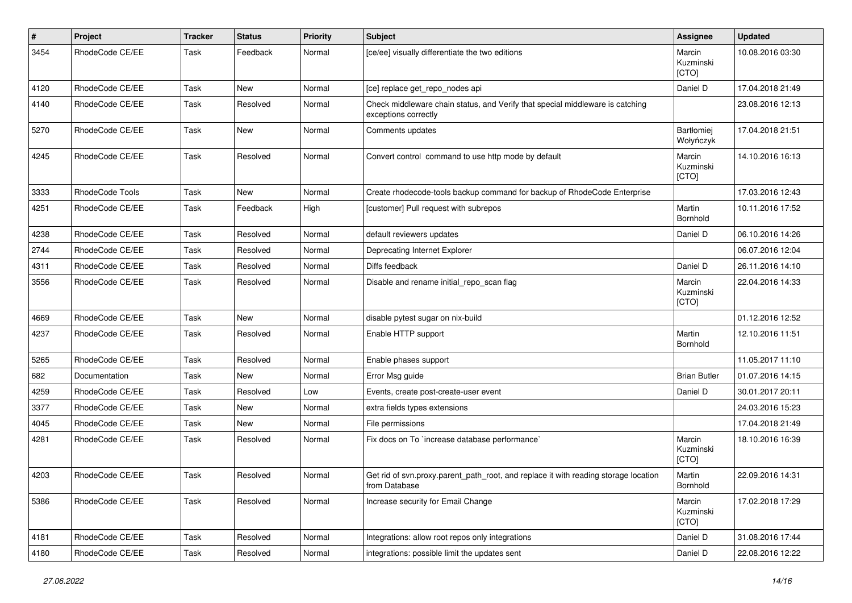| $\pmb{\#}$ | Project         | <b>Tracker</b> | <b>Status</b> | <b>Priority</b> | <b>Subject</b>                                                                                        | Assignee                     | <b>Updated</b>   |
|------------|-----------------|----------------|---------------|-----------------|-------------------------------------------------------------------------------------------------------|------------------------------|------------------|
| 3454       | RhodeCode CE/EE | Task           | Feedback      | Normal          | [ce/ee] visually differentiate the two editions                                                       | Marcin<br>Kuzminski<br>[CTO] | 10.08.2016 03:30 |
| 4120       | RhodeCode CE/EE | Task           | <b>New</b>    | Normal          | [ce] replace get_repo_nodes api                                                                       | Daniel D                     | 17.04.2018 21:49 |
| 4140       | RhodeCode CE/EE | Task           | Resolved      | Normal          | Check middleware chain status, and Verify that special middleware is catching<br>exceptions correctly |                              | 23.08.2016 12:13 |
| 5270       | RhodeCode CE/EE | Task           | <b>New</b>    | Normal          | Comments updates                                                                                      | Bartłomiej<br>Wołyńczyk      | 17.04.2018 21:51 |
| 4245       | RhodeCode CE/EE | Task           | Resolved      | Normal          | Convert control command to use http mode by default                                                   | Marcin<br>Kuzminski<br>[CTO] | 14.10.2016 16:13 |
| 3333       | RhodeCode Tools | Task           | <b>New</b>    | Normal          | Create rhodecode-tools backup command for backup of RhodeCode Enterprise                              |                              | 17.03.2016 12:43 |
| 4251       | RhodeCode CE/EE | Task           | Feedback      | High            | [customer] Pull request with subrepos                                                                 | Martin<br>Bornhold           | 10.11.2016 17:52 |
| 4238       | RhodeCode CE/EE | Task           | Resolved      | Normal          | default reviewers updates                                                                             | Daniel D                     | 06.10.2016 14:26 |
| 2744       | RhodeCode CE/EE | Task           | Resolved      | Normal          | Deprecating Internet Explorer                                                                         |                              | 06.07.2016 12:04 |
| 4311       | RhodeCode CE/EE | Task           | Resolved      | Normal          | Diffs feedback                                                                                        | Daniel D                     | 26.11.2016 14:10 |
| 3556       | RhodeCode CE/EE | Task           | Resolved      | Normal          | Disable and rename initial_repo_scan flag                                                             | Marcin<br>Kuzminski<br>[CTO] | 22.04.2016 14:33 |
| 4669       | RhodeCode CE/EE | Task           | New           | Normal          | disable pytest sugar on nix-build                                                                     |                              | 01.12.2016 12:52 |
| 4237       | RhodeCode CE/EE | Task           | Resolved      | Normal          | Enable HTTP support                                                                                   | Martin<br>Bornhold           | 12.10.2016 11:51 |
| 5265       | RhodeCode CE/EE | Task           | Resolved      | Normal          | Enable phases support                                                                                 |                              | 11.05.2017 11:10 |
| 682        | Documentation   | Task           | New           | Normal          | Error Msg guide                                                                                       | <b>Brian Butler</b>          | 01.07.2016 14:15 |
| 4259       | RhodeCode CE/EE | Task           | Resolved      | Low             | Events, create post-create-user event                                                                 | Daniel D                     | 30.01.2017 20:11 |
| 3377       | RhodeCode CE/EE | Task           | New           | Normal          | extra fields types extensions                                                                         |                              | 24.03.2016 15:23 |
| 4045       | RhodeCode CE/EE | Task           | New           | Normal          | File permissions                                                                                      |                              | 17.04.2018 21:49 |
| 4281       | RhodeCode CE/EE | Task           | Resolved      | Normal          | Fix docs on To `increase database performance`                                                        | Marcin<br>Kuzminski<br>[CTO] | 18.10.2016 16:39 |
| 4203       | RhodeCode CE/EE | Task           | Resolved      | Normal          | Get rid of svn.proxy.parent_path_root, and replace it with reading storage location<br>from Database  | Martin<br>Bornhold           | 22.09.2016 14:31 |
| 5386       | RhodeCode CE/EE | Task           | Resolved      | Normal          | Increase security for Email Change                                                                    | Marcin<br>Kuzminski<br>[CTO] | 17.02.2018 17:29 |
| 4181       | RhodeCode CE/EE | Task           | Resolved      | Normal          | Integrations: allow root repos only integrations                                                      | Daniel D                     | 31.08.2016 17:44 |
| 4180       | RhodeCode CE/EE | Task           | Resolved      | Normal          | integrations: possible limit the updates sent                                                         | Daniel D                     | 22.08.2016 12:22 |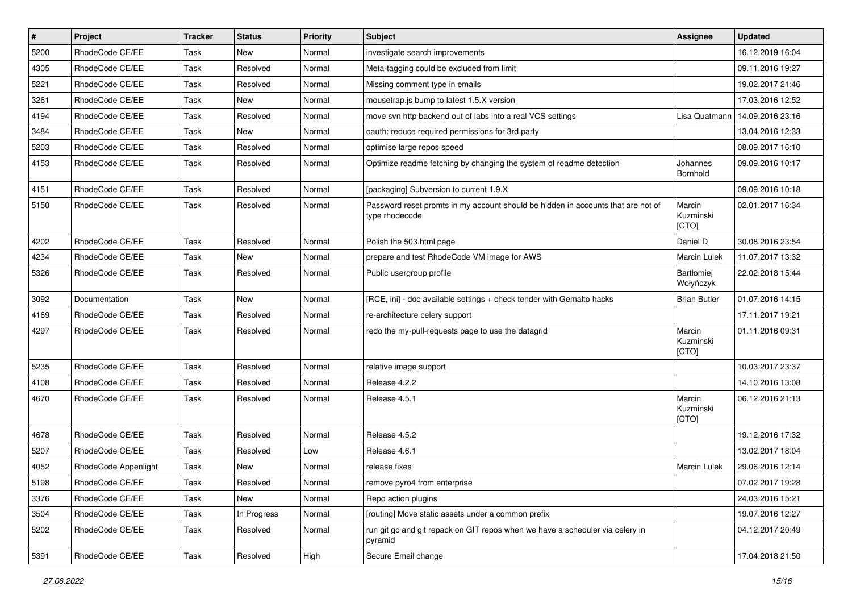| #    | Project              | <b>Tracker</b> | <b>Status</b> | Priority | <b>Subject</b>                                                                                     | Assignee                       | <b>Updated</b>   |
|------|----------------------|----------------|---------------|----------|----------------------------------------------------------------------------------------------------|--------------------------------|------------------|
| 5200 | RhodeCode CE/EE      | Task           | New           | Normal   | investigate search improvements                                                                    |                                | 16.12.2019 16:04 |
| 4305 | RhodeCode CE/EE      | Task           | Resolved      | Normal   | Meta-tagging could be excluded from limit                                                          |                                | 09.11.2016 19:27 |
| 5221 | RhodeCode CE/EE      | Task           | Resolved      | Normal   | Missing comment type in emails                                                                     |                                | 19.02.2017 21:46 |
| 3261 | RhodeCode CE/EE      | Task           | New           | Normal   | mousetrap.js bump to latest 1.5.X version                                                          |                                | 17.03.2016 12:52 |
| 4194 | RhodeCode CE/EE      | Task           | Resolved      | Normal   | move svn http backend out of labs into a real VCS settings                                         | Lisa Quatmann                  | 14.09.2016 23:16 |
| 3484 | RhodeCode CE/EE      | Task           | New           | Normal   | oauth: reduce required permissions for 3rd party                                                   |                                | 13.04.2016 12:33 |
| 5203 | RhodeCode CE/EE      | Task           | Resolved      | Normal   | optimise large repos speed                                                                         |                                | 08.09.2017 16:10 |
| 4153 | RhodeCode CE/EE      | Task           | Resolved      | Normal   | Optimize readme fetching by changing the system of readme detection                                | Johannes<br>Bornhold           | 09.09.2016 10:17 |
| 4151 | RhodeCode CE/EE      | Task           | Resolved      | Normal   | [packaging] Subversion to current 1.9.X                                                            |                                | 09.09.2016 10:18 |
| 5150 | RhodeCode CE/EE      | Task           | Resolved      | Normal   | Password reset promts in my account should be hidden in accounts that are not of<br>type rhodecode | Marcin<br>Kuzminski<br>[CTO]   | 02.01.2017 16:34 |
| 4202 | RhodeCode CE/EE      | Task           | Resolved      | Normal   | Polish the 503.html page                                                                           | Daniel D                       | 30.08.2016 23:54 |
| 4234 | RhodeCode CE/EE      | Task           | New           | Normal   | prepare and test RhodeCode VM image for AWS                                                        | <b>Marcin Lulek</b>            | 11.07.2017 13:32 |
| 5326 | RhodeCode CE/EE      | Task           | Resolved      | Normal   | Public usergroup profile                                                                           | <b>Bartłomiei</b><br>Wołyńczyk | 22.02.2018 15:44 |
| 3092 | Documentation        | Task           | <b>New</b>    | Normal   | [RCE, ini] - doc available settings + check tender with Gemalto hacks                              | <b>Brian Butler</b>            | 01.07.2016 14:15 |
| 4169 | RhodeCode CE/EE      | Task           | Resolved      | Normal   | re-architecture celery support                                                                     |                                | 17.11.2017 19:21 |
| 4297 | RhodeCode CE/EE      | Task           | Resolved      | Normal   | redo the my-pull-requests page to use the datagrid                                                 | Marcin<br>Kuzminski<br>[CTO]   | 01.11.2016 09:31 |
| 5235 | RhodeCode CE/EE      | Task           | Resolved      | Normal   | relative image support                                                                             |                                | 10.03.2017 23:37 |
| 4108 | RhodeCode CE/EE      | Task           | Resolved      | Normal   | Release 4.2.2                                                                                      |                                | 14.10.2016 13:08 |
| 4670 | RhodeCode CE/EE      | Task           | Resolved      | Normal   | Release 4.5.1                                                                                      | Marcin<br>Kuzminski<br>[CTO]   | 06.12.2016 21:13 |
| 4678 | RhodeCode CE/EE      | Task           | Resolved      | Normal   | Release 4.5.2                                                                                      |                                | 19.12.2016 17:32 |
| 5207 | RhodeCode CE/EE      | Task           | Resolved      | Low      | Release 4.6.1                                                                                      |                                | 13.02.2017 18:04 |
| 4052 | RhodeCode Appenlight | Task           | New           | Normal   | release fixes                                                                                      | <b>Marcin Lulek</b>            | 29.06.2016 12:14 |
| 5198 | RhodeCode CE/EE      | Task           | Resolved      | Normal   | remove pyro4 from enterprise                                                                       |                                | 07.02.2017 19:28 |
| 3376 | RhodeCode CE/EE      | Task           | New           | Normal   | Repo action plugins                                                                                |                                | 24.03.2016 15:21 |
| 3504 | RhodeCode CE/EE      | Task           | In Progress   | Normal   | [routing] Move static assets under a common prefix                                                 |                                | 19.07.2016 12:27 |
| 5202 | RhodeCode CE/EE      | Task           | Resolved      | Normal   | run git gc and git repack on GIT repos when we have a scheduler via celery in<br>pyramid           |                                | 04.12.2017 20:49 |
| 5391 | RhodeCode CE/EE      | Task           | Resolved      | High     | Secure Email change                                                                                |                                | 17.04.2018 21:50 |